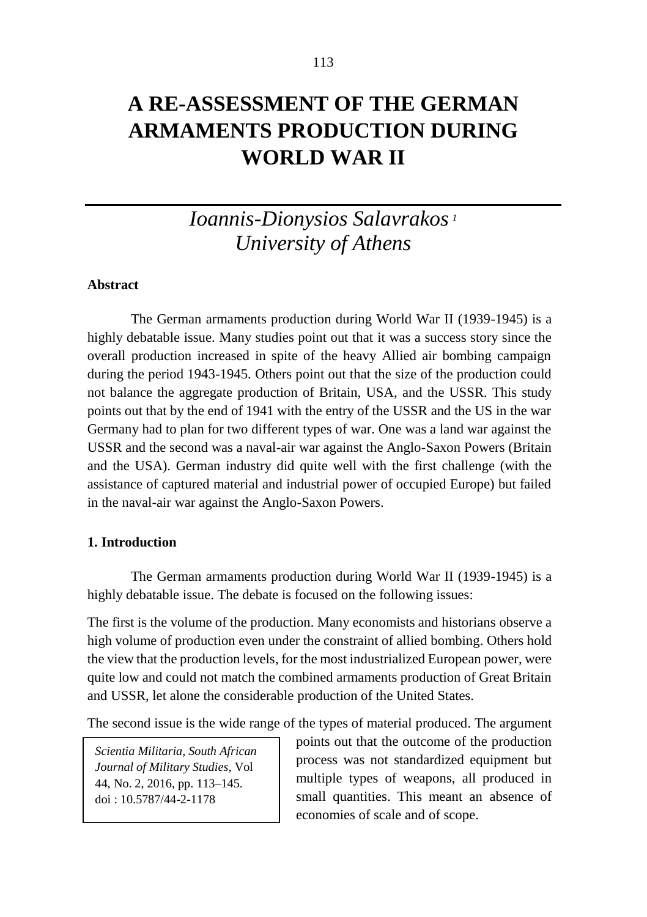**WORLD WAR II**

# *Ioannis-Dionysios Salavrakos <sup>1</sup>*

*University of Athens*

**Abstract**

The German armaments production during World War II (1939-1945) is a highly debatable issue. Many studies point out that it was a success story since the overall production increased in spite of the heavy Allied air bombing campaign during the period 1943-1945. Others point out that the size of the production could not balance the aggregate production of Britain, USA, and the USSR. This study points out that by the end of 1941 with the entry of the USSR and the US in the war Germany had to plan for two different types of war. One was a land war against the USSR and the second was a naval-air war against the Anglo-Saxon Powers (Britain and the USA). German industry did quite well with the first challenge (with the assistance of captured material and industrial power of occupied Europe) but failed in the naval-air war against the Anglo-Saxon Powers.

# **1. Introduction**

The German armaments production during World War II (1939-1945) is a highly debatable issue. The debate is focused on the following issues:

The first is the volume of the production. Many economists and historians observe a high volume of production even under the constraint of allied bombing. Others hold the view that the production levels, for the most industrialized European power, were quite low and could not match the combined armaments production of Great Britain and USSR, let alone the considerable production of the United States.

The second issue is the wide range of the types of material produced. The argument

*Scientia Militaria, South African Journal of Military Studies,* Vol 44, No. 2, 2016, pp. 113–145. doi : 10.5787/44-2-1178

points out that the outcome of the production process was not standardized equipment but multiple types of weapons, all produced in small quantities. This meant an absence of economies of scale and of scope.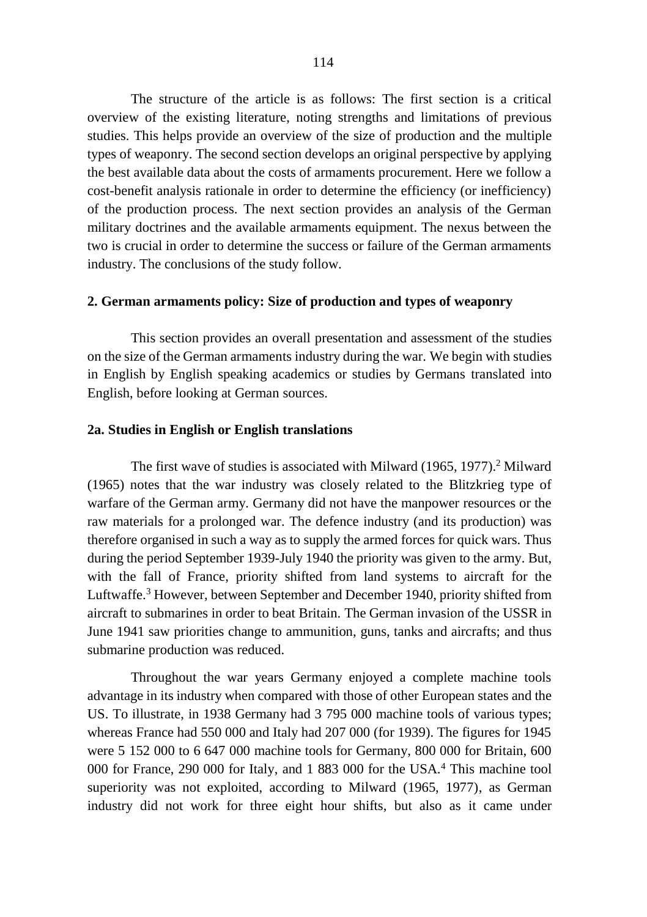The structure of the article is as follows: The first section is a critical overview of the existing literature, noting strengths and limitations of previous studies. This helps provide an overview of the size of production and the multiple types of weaponry. The second section develops an original perspective by applying the best available data about the costs of armaments procurement. Here we follow a cost-benefit analysis rationale in order to determine the efficiency (or inefficiency) of the production process. The next section provides an analysis of the German military doctrines and the available armaments equipment. The nexus between the two is crucial in order to determine the success or failure of the German armaments industry. The conclusions of the study follow.

#### **2. German armaments policy: Size of production and types of weaponry**

This section provides an overall presentation and assessment of the studies on the size of the German armaments industry during the war. We begin with studies in English by English speaking academics or studies by Germans translated into English, before looking at German sources.

#### **2a. Studies in English or English translations**

The first wave of studies is associated with Milward (1965, 1977). <sup>2</sup> Milward (1965) notes that the war industry was closely related to the Blitzkrieg type of warfare of the German army. Germany did not have the manpower resources or the raw materials for a prolonged war. The defence industry (and its production) was therefore organised in such a way as to supply the armed forces for quick wars. Thus during the period September 1939-July 1940 the priority was given to the army. But, with the fall of France, priority shifted from land systems to aircraft for the Luftwaffe. <sup>3</sup> However, between September and December 1940, priority shifted from aircraft to submarines in order to beat Britain. The German invasion of the USSR in June 1941 saw priorities change to ammunition, guns, tanks and aircrafts; and thus submarine production was reduced.

Throughout the war years Germany enjoyed a complete machine tools advantage in its industry when compared with those of other European states and the US. To illustrate, in 1938 Germany had 3 795 000 machine tools of various types; whereas France had 550 000 and Italy had 207 000 (for 1939). The figures for 1945 were 5 152 000 to 6 647 000 machine tools for Germany, 800 000 for Britain, 600 000 for France, 290 000 for Italy, and 1 883 000 for the USA.<sup>4</sup> This machine tool superiority was not exploited, according to Milward (1965, 1977), as German industry did not work for three eight hour shifts, but also as it came under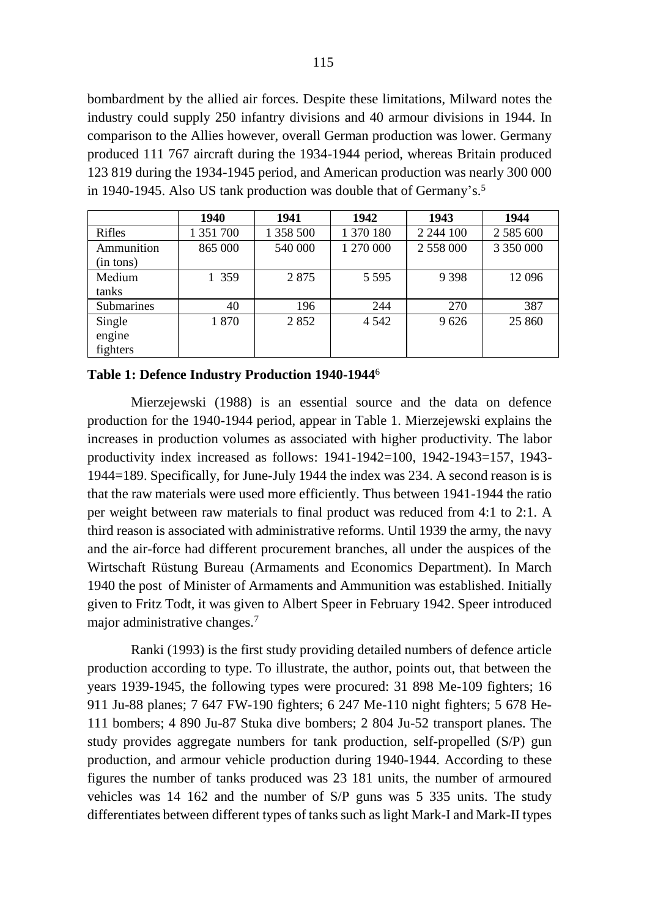bombardment by the allied air forces. Despite these limitations, Milward notes the industry could supply 250 infantry divisions and 40 armour divisions in 1944. In comparison to the Allies however, overall German production was lower. Germany produced 111 767 aircraft during the 1934-1944 period, whereas Britain produced 123 819 during the 1934-1945 period, and American production was nearly 300 000 in 1940-1945. Also US tank production was double that of Germany's. 5

|                              | 1940      | 1941      | 1942      | 1943         | 1944            |
|------------------------------|-----------|-----------|-----------|--------------|-----------------|
| Rifles                       | 1 351 700 | 1 358 500 | 1 370 180 | 2 2 4 4 10 0 | 2 5 8 5 6 6 0 0 |
| Ammunition<br>(in tons)      | 865 000   | 540 000   | 1 270 000 | 2 558 000    |                 |
| Medium<br>tanks              | 1 359     | 2875      | 5 5 9 5   | 9 3 9 8      | 12 096          |
| <b>Submarines</b>            | 40        | 196       | 244       | 270          | 387             |
| Single<br>engine<br>fighters | 1870      | 2852      | 4 5 4 2   | 9626         | 25 860          |

#### **Table 1: Defence Industry Production 1940-1944**<sup>6</sup>

Mierzejewski (1988) is an essential source and the data on defence production for the 1940-1944 period, appear in Table 1. Mierzejewski explains the increases in production volumes as associated with higher productivity. The labor productivity index increased as follows: 1941-1942=100, 1942-1943=157, 1943- 1944=189. Specifically, for June-July 1944 the index was 234. A second reason is is that the raw materials were used more efficiently. Thus between 1941-1944 the ratio per weight between raw materials to final product was reduced from 4:1 to 2:1. A third reason is associated with administrative reforms. Until 1939 the army, the navy and the air-force had different procurement branches, all under the auspices of the Wirtschaft Rüstung Bureau (Armaments and Economics Department). In March 1940 the post of Minister of Armaments and Ammunition was established. Initially given to Fritz Todt, it was given to Albert Speer in February 1942. Speer introduced major administrative changes.<sup>7</sup>

Ranki (1993) is the first study providing detailed numbers of defence article production according to type. To illustrate, the author, points out, that between the years 1939-1945, the following types were procured: 31 898 Me-109 fighters; 16 911 Ju-88 planes; 7 647 FW-190 fighters; 6 247 Me-110 night fighters; 5 678 He-111 bombers; 4 890 Ju-87 Stuka dive bombers; 2 804 Ju-52 transport planes. The study provides aggregate numbers for tank production, self-propelled (S/P) gun production, and armour vehicle production during 1940-1944. According to these figures the number of tanks produced was 23 181 units, the number of armoured vehicles was 14 162 and the number of S/P guns was 5 335 units. The study differentiates between different types of tanks such as light Mark-I and Mark-II types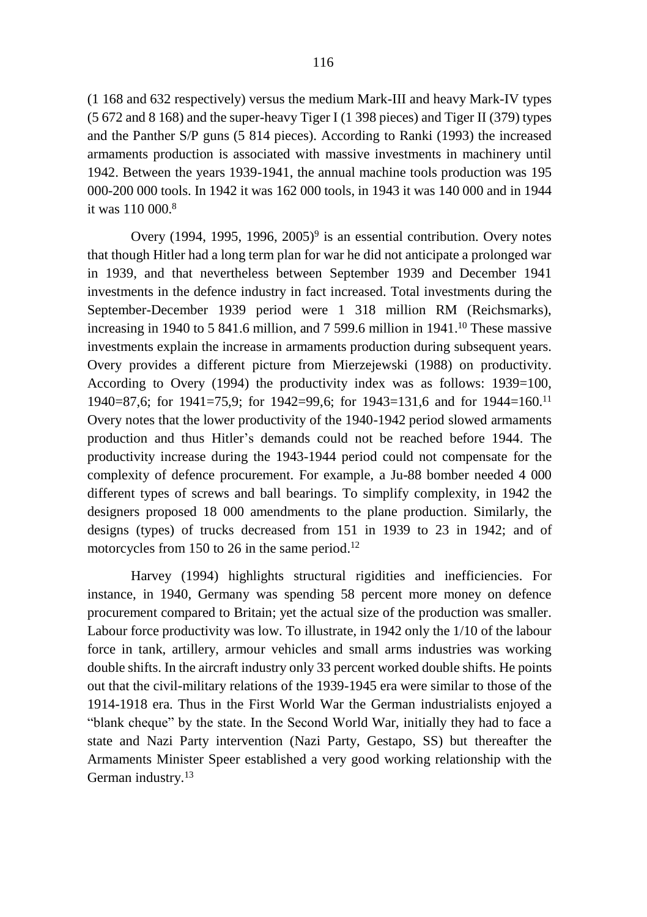(1 168 and 632 respectively) versus the medium Mark-III and heavy Mark-IV types (5 672 and 8 168) and the super-heavy Tiger I (1 398 pieces) and Tiger II (379) types and the Panther S/P guns (5 814 pieces). According to Ranki (1993) the increased armaments production is associated with massive investments in machinery until 1942. Between the years 1939-1941, the annual machine tools production was 195 000-200 000 tools. In 1942 it was 162 000 tools, in 1943 it was 140 000 and in 1944 it was 110 000.<sup>8</sup>

Overy (1994, 1995, 1996, 2005)<sup>9</sup> is an essential contribution. Overy notes that though Hitler had a long term plan for war he did not anticipate a prolonged war in 1939, and that nevertheless between September 1939 and December 1941 investments in the defence industry in fact increased. Total investments during the September-December 1939 period were 1 318 million RM (Reichsmarks), increasing in 1940 to 5 841.6 million, and 7 599.6 million in 1941. <sup>10</sup> These massive investments explain the increase in armaments production during subsequent years. Overy provides a different picture from Mierzejewski (1988) on productivity. According to Overy (1994) the productivity index was as follows: 1939=100, 1940=87,6; for 1941=75,9; for 1942=99,6; for 1943=131,6 and for 1944=160.<sup>11</sup> Overy notes that the lower productivity of the 1940-1942 period slowed armaments production and thus Hitler's demands could not be reached before 1944. The productivity increase during the 1943-1944 period could not compensate for the complexity of defence procurement. For example, a Ju-88 bomber needed 4 000 different types of screws and ball bearings. To simplify complexity, in 1942 the designers proposed 18 000 amendments to the plane production. Similarly, the designs (types) of trucks decreased from 151 in 1939 to 23 in 1942; and of motorcycles from 150 to 26 in the same period.<sup>12</sup>

Harvey (1994) highlights structural rigidities and inefficiencies. For instance, in 1940, Germany was spending 58 percent more money on defence procurement compared to Britain; yet the actual size of the production was smaller. Labour force productivity was low. To illustrate, in 1942 only the 1/10 of the labour force in tank, artillery, armour vehicles and small arms industries was working double shifts. In the aircraft industry only 33 percent worked double shifts. He points out that the civil-military relations of the 1939-1945 era were similar to those of the 1914-1918 era. Thus in the First World War the German industrialists enjoyed a "blank cheque" by the state. In the Second World War, initially they had to face a state and Nazi Party intervention (Nazi Party, Gestapo, SS) but thereafter the Armaments Minister Speer established a very good working relationship with the German industry.13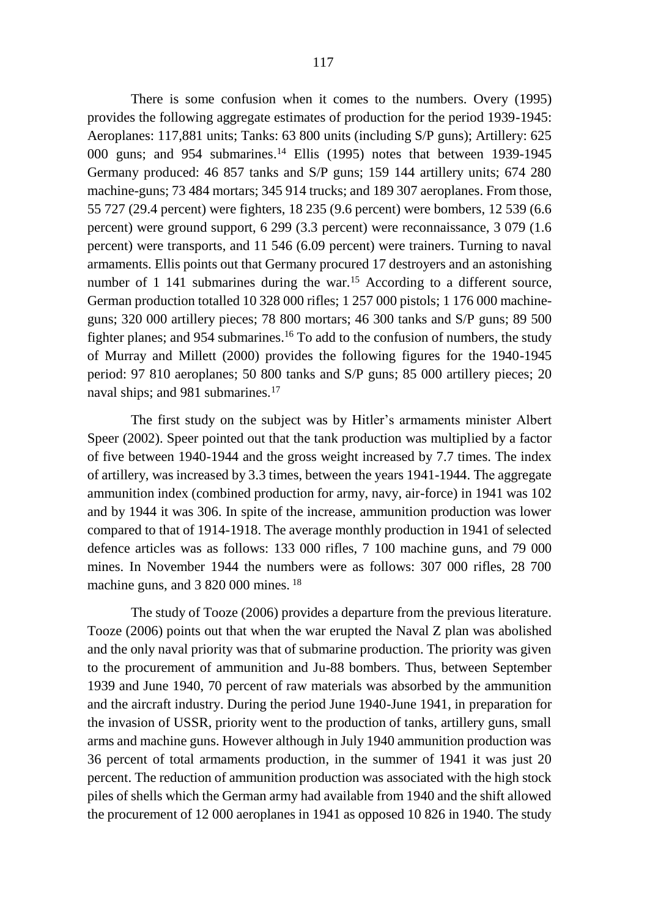There is some confusion when it comes to the numbers. Overy (1995) provides the following aggregate estimates of production for the period 1939-1945: Aeroplanes: 117,881 units; Tanks: 63 800 units (including S/P guns); Artillery: 625 000 guns; and 954 submarines. <sup>14</sup> Ellis (1995) notes that between 1939-1945 Germany produced: 46 857 tanks and S/P guns; 159 144 artillery units; 674 280 machine-guns; 73 484 mortars; 345 914 trucks; and 189 307 aeroplanes. From those, 55 727 (29.4 percent) were fighters, 18 235 (9.6 percent) were bombers, 12 539 (6.6 percent) were ground support, 6 299 (3.3 percent) were reconnaissance, 3 079 (1.6 percent) were transports, and 11 546 (6.09 percent) were trainers. Turning to naval armaments. Ellis points out that Germany procured 17 destroyers and an astonishing number of 1 141 submarines during the war.<sup>15</sup> According to a different source, German production totalled 10 328 000 rifles; 1 257 000 pistols; 1 176 000 machineguns; 320 000 artillery pieces; 78 800 mortars; 46 300 tanks and S/P guns; 89 500 fighter planes; and 954 submarines.<sup>16</sup> To add to the confusion of numbers, the study of Murray and Millett (2000) provides the following figures for the 1940-1945 period: 97 810 aeroplanes; 50 800 tanks and S/P guns; 85 000 artillery pieces; 20 naval ships; and 981 submarines.<sup>17</sup>

The first study on the subject was by Hitler's armaments minister Albert Speer (2002). Speer pointed out that the tank production was multiplied by a factor of five between 1940-1944 and the gross weight increased by 7.7 times. The index of artillery, was increased by 3.3 times, between the years 1941-1944. Τhe aggregate ammunition index (combined production for army, navy, air-force) in 1941 was 102 and by 1944 it was 306. In spite of the increase, ammunition production was lower compared to that of 1914-1918. The average monthly production in 1941 of selected defence articles was as follows: 133 000 rifles, 7 100 machine guns, and 79 000 mines. In November 1944 the numbers were as follows: 307 000 rifles, 28 700 machine guns, and 3 820 000 mines.<sup>18</sup>

The study of Tooze (2006) provides a departure from the previous literature. Tooze (2006) points out that when the war erupted the Naval Z plan was abolished and the only naval priority was that of submarine production. The priority was given to the procurement of ammunition and Ju-88 bombers. Thus, between September 1939 and June 1940, 70 percent of raw materials was absorbed by the ammunition and the aircraft industry. During the period June 1940-June 1941, in preparation for the invasion of USSR, priority went to the production of tanks, artillery guns, small arms and machine guns. However although in July 1940 ammunition production was 36 percent of total armaments production, in the summer of 1941 it was just 20 percent. The reduction of ammunition production was associated with the high stock piles of shells which the German army had available from 1940 and the shift allowed the procurement of 12 000 aeroplanes in 1941 as opposed 10 826 in 1940. The study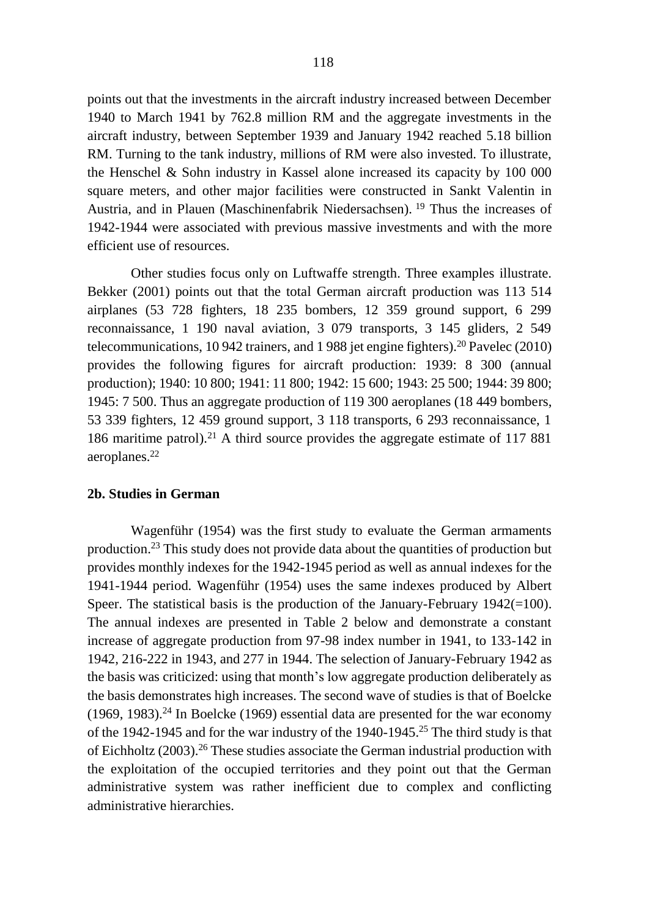points out that the investments in the aircraft industry increased between December 1940 to March 1941 by 762.8 million RM and the aggregate investments in the aircraft industry, between September 1939 and January 1942 reached 5.18 billion RM. Turning to the tank industry, millions of RM were also invested. To illustrate, the Henschel & Sohn industry in Kassel alone increased its capacity by 100 000 square meters, and other major facilities were constructed in Sankt Valentin in Austria, and in Plauen (Maschinenfabrik Niedersachsen). <sup>19</sup> Thus the increases of 1942-1944 were associated with previous massive investments and with the more efficient use of resources.

Other studies focus only on Luftwaffe strength. Three examples illustrate. Bekker (2001) points out that the total German aircraft production was 113 514 airplanes (53 728 fighters, 18 235 bombers, 12 359 ground support, 6 299 reconnaissance, 1 190 naval aviation, 3 079 transports, 3 145 gliders, 2 549 telecommunications, 10 942 trainers, and 1 988 jet engine fighters).<sup>20</sup> Pavelec (2010) provides the following figures for aircraft production: 1939: 8 300 (annual production); 1940: 10 800; 1941: 11 800; 1942: 15 600; 1943: 25 500; 1944: 39 800; 1945: 7 500. Thus an aggregate production of 119 300 aeroplanes (18 449 bombers, 53 339 fighters, 12 459 ground support, 3 118 transports, 6 293 reconnaissance, 1 186 maritime patrol).<sup>21</sup> A third source provides the aggregate estimate of 117 881 aeroplanes.<sup>22</sup>

# **2b. Studies in German**

Wagenführ (1954) was the first study to evaluate the German armaments production. <sup>23</sup> This study does not provide data about the quantities of production but provides monthly indexes for the 1942-1945 period as well as annual indexes for the 1941-1944 period. Wagenführ (1954) uses the same indexes produced by Albert Speer. The statistical basis is the production of the January-February  $1942(=100)$ . The annual indexes are presented in Table 2 below and demonstrate a constant increase of aggregate production from 97-98 index number in 1941, to 133-142 in 1942, 216-222 in 1943, and 277 in 1944. The selection of January-February 1942 as the basis was criticized: using that month's low aggregate production deliberately as the basis demonstrates high increases. The second wave of studies is that of Boelcke  $(1969, 1983).<sup>24</sup>$  In Boelcke (1969) essential data are presented for the war economy of the 1942-1945 and for the war industry of the 1940-1945.<sup>25</sup> The third study is that of Eichholtz (2003).<sup>26</sup> These studies associate the German industrial production with the exploitation of the occupied territories and they point out that the German administrative system was rather inefficient due to complex and conflicting administrative hierarchies.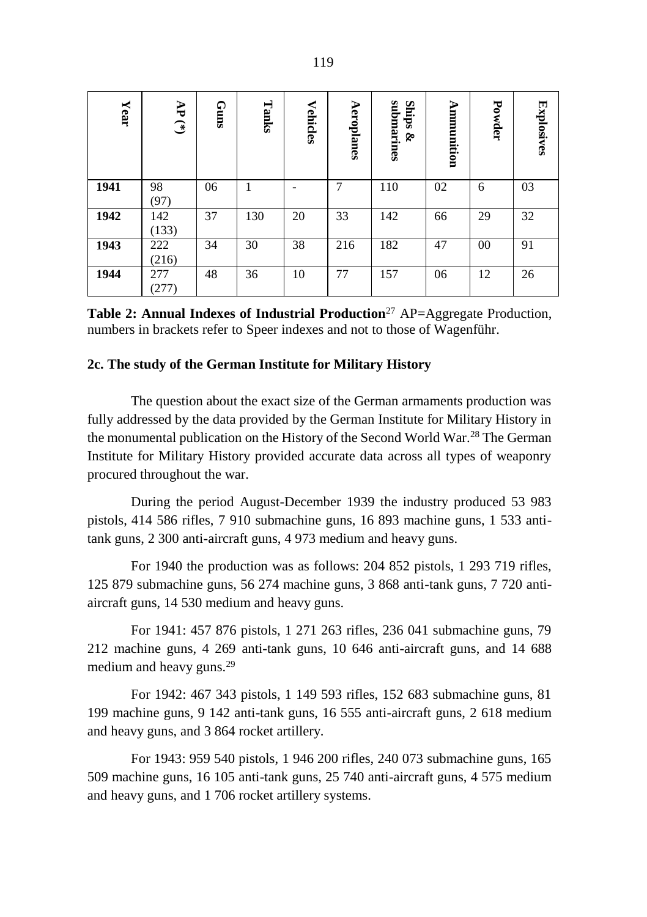| ${\bf Year}$ | Ł<br>$\widehat{f}$ | GumS | Tanks | <b>Vehicles</b> | Aeroplanes | submarines<br>Ships<br>Š. | Ammunition | Powder | Explosives |
|--------------|--------------------|------|-------|-----------------|------------|---------------------------|------------|--------|------------|
| 1941         | 98<br>(97)         | 06   |       |                 | 7          | 110                       | 02         | 6      | 03         |
| 1942         | 142<br>(133)       | 37   | 130   | 20              | 33         | 142                       | 66         | 29     | 32         |
| 1943         | 222<br>(216)       | 34   | 30    | 38              | 216        | 182                       | 47         | 00     | 91         |
| 1944         | 277<br>(277)       | 48   | 36    | 10              | 77         | 157                       | 06         | 12     | 26         |

**Table 2: Annual Indexes of Industrial Production**<sup>27</sup> AP=Aggregate Production, numbers in brackets refer to Speer indexes and not to those of Wagenführ.

# **2c. The study of the German Institute for Military History**

The question about the exact size of the German armaments production was fully addressed by the data provided by the German Institute for Military History in the monumental publication on the History of the Second World War.<sup>28</sup> The German Institute for Military History provided accurate data across all types of weaponry procured throughout the war.

During the period August-December 1939 the industry produced 53 983 pistols, 414 586 rifles, 7 910 submachine guns, 16 893 machine guns, 1 533 antitank guns, 2 300 anti-aircraft guns, 4 973 medium and heavy guns.

For 1940 the production was as follows: 204 852 pistols, 1 293 719 rifles, 125 879 submachine guns, 56 274 machine guns, 3 868 anti-tank guns, 7 720 antiaircraft guns, 14 530 medium and heavy guns.

For 1941: 457 876 pistols, 1 271 263 rifles, 236 041 submachine guns, 79 212 machine guns, 4 269 anti-tank guns, 10 646 anti-aircraft guns, and 14 688 medium and heavy guns.<sup>29</sup>

For 1942: 467 343 pistols, 1 149 593 rifles, 152 683 submachine guns, 81 199 machine guns, 9 142 anti-tank guns, 16 555 anti-aircraft guns, 2 618 medium and heavy guns, and 3 864 rocket artillery.

For 1943: 959 540 pistols, 1 946 200 rifles, 240 073 submachine guns, 165 509 machine guns, 16 105 anti-tank guns, 25 740 anti-aircraft guns, 4 575 medium and heavy guns, and 1 706 rocket artillery systems.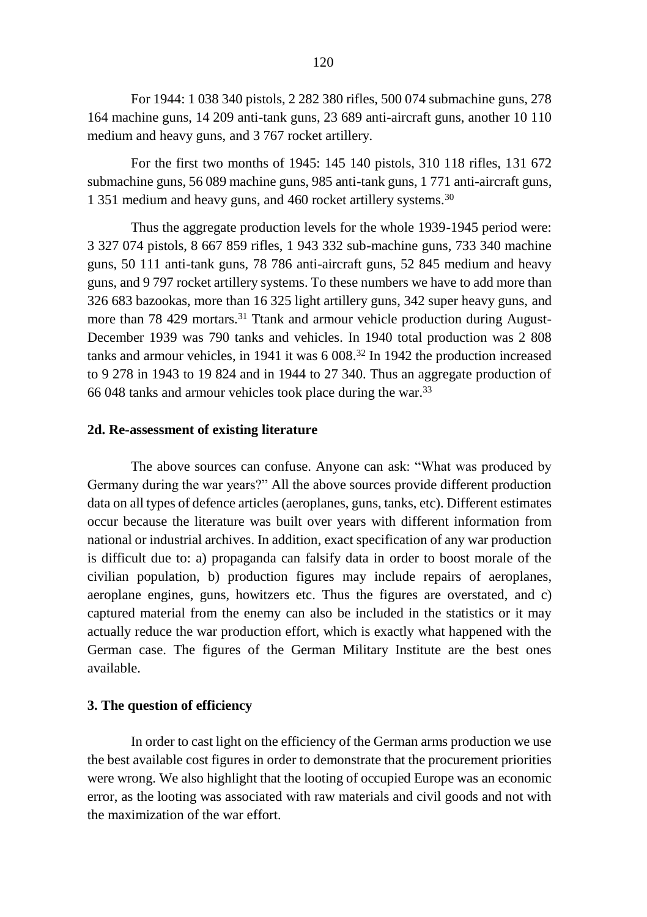For 1944: 1 038 340 pistols, 2 282 380 rifles, 500 074 submachine guns, 278 164 machine guns, 14 209 anti-tank guns, 23 689 anti-aircraft guns, another 10 110 medium and heavy guns, and 3 767 rocket artillery.

For the first two months of 1945: 145 140 pistols, 310 118 rifles, 131 672 submachine guns, 56 089 machine guns, 985 anti-tank guns, 1 771 anti-aircraft guns, 1 351 medium and heavy guns, and 460 rocket artillery systems.<sup>30</sup>

Thus the aggregate production levels for the whole 1939-1945 period were: 3 327 074 pistols, 8 667 859 rifles, 1 943 332 sub-machine guns, 733 340 machine guns, 50 111 anti-tank guns, 78 786 anti-aircraft guns, 52 845 medium and heavy guns, and 9 797 rocket artillery systems. To these numbers we have to add more than 326 683 bazookas, more than 16 325 light artillery guns, 342 super heavy guns, and more than 78 429 mortars.<sup>31</sup> Ttank and armour vehicle production during August-December 1939 was 790 tanks and vehicles. In 1940 total production was 2 808 tanks and armour vehicles, in 1941 it was 6 008.<sup>32</sup> In 1942 the production increased to 9 278 in 1943 to 19 824 and in 1944 to 27 340. Thus an aggregate production of 66 048 tanks and armour vehicles took place during the war.<sup>33</sup>

#### **2d. Re-assessment of existing literature**

The above sources can confuse. Anyone can ask: "What was produced by Germany during the war years?" All the above sources provide different production data on all types of defence articles (aeroplanes, guns, tanks, etc). Different estimates occur because the literature was built over years with different information from national or industrial archives. In addition, exact specification of any war production is difficult due to: a) propaganda can falsify data in order to boost morale of the civilian population, b) production figures may include repairs of aeroplanes, aeroplane engines, guns, howitzers etc. Thus the figures are overstated, and c) captured material from the enemy can also be included in the statistics or it may actually reduce the war production effort, which is exactly what happened with the German case. The figures of the German Military Institute are the best ones available.

#### **3. The question of efficiency**

In order to cast light on the efficiency of the German arms production we use the best available cost figures in order to demonstrate that the procurement priorities were wrong. We also highlight that the looting of occupied Europe was an economic error, as the looting was associated with raw materials and civil goods and not with the maximization of the war effort.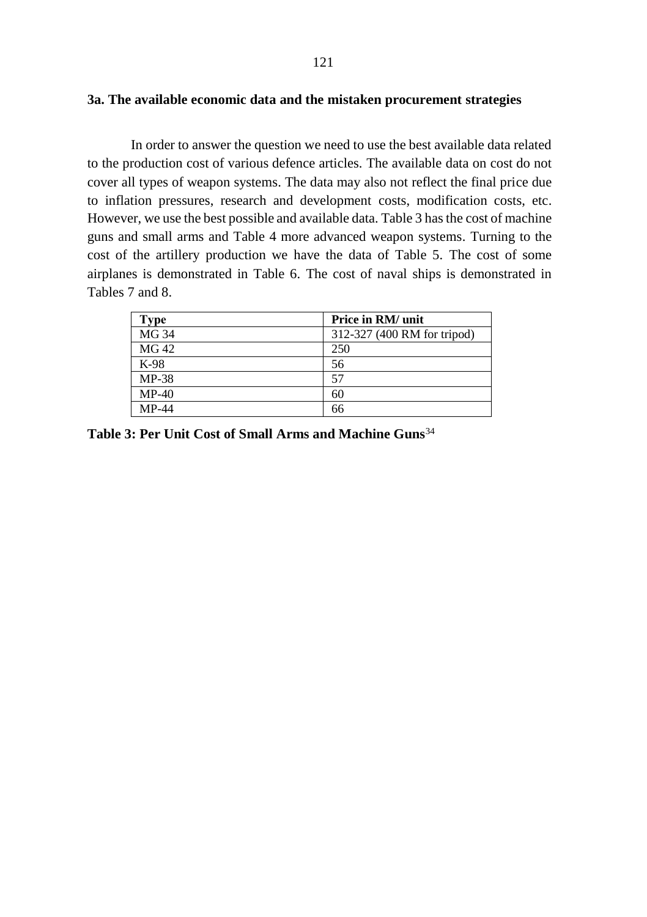In order to answer the question we need to use the best available data related to the production cost of various defence articles. The available data on cost do not cover all types of weapon systems. The data may also not reflect the final price due to inflation pressures, research and development costs, modification costs, etc. However, we use the best possible and available data. Table 3 hasthe cost of machine guns and small arms and Table 4 more advanced weapon systems. Turning to the cost of the artillery production we have the data of Table 5. The cost of some airplanes is demonstrated in Table 6. The cost of naval ships is demonstrated in Tables 7 and 8.

| <b>Type</b> | Price in RM/ unit           |
|-------------|-----------------------------|
| MG 34       | 312-327 (400 RM for tripod) |
| MG 42       | 250                         |
| K-98        | 56                          |
| $MP-38$     | 57                          |
| $MP-40$     | 60                          |
| $MP-44$     |                             |

**Table 3: Per Unit Cost of Small Arms and Machine Guns**34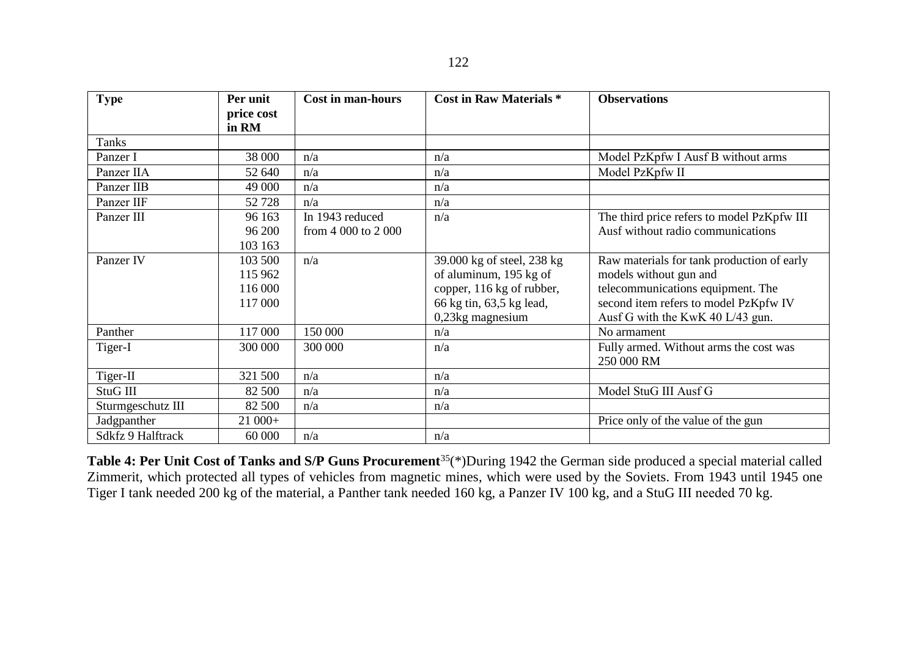| <b>Type</b>       | Per unit<br>price cost | <b>Cost in man-hours</b> | Cost in Raw Materials *    | <b>Observations</b>                        |
|-------------------|------------------------|--------------------------|----------------------------|--------------------------------------------|
|                   | in RM                  |                          |                            |                                            |
| Tanks             |                        |                          |                            |                                            |
| Panzer I          | 38 000                 | n/a                      | n/a                        | Model PzKpfw I Ausf B without arms         |
| Panzer IIA        | 52 640                 | n/a                      | n/a                        | Model PzKpfw II                            |
| Panzer IIB        | 49 000                 | n/a                      | n/a                        |                                            |
| Panzer IIF        | 52 728                 | n/a                      | n/a                        |                                            |
| Panzer III        | 96 163                 | In 1943 reduced          | n/a                        | The third price refers to model PzKpfw III |
|                   | 96 200                 | from 4 000 to 2 000      |                            | Ausf without radio communications          |
|                   | 103 163                |                          |                            |                                            |
| Panzer IV         | 103 500                | n/a                      | 39.000 kg of steel, 238 kg | Raw materials for tank production of early |
|                   | 115 962                |                          | of aluminum, 195 kg of     | models without gun and                     |
|                   | 116 000                |                          | copper, 116 kg of rubber,  | telecommunications equipment. The          |
|                   | 117 000                |                          | 66 kg tin, 63,5 kg lead,   | second item refers to model PzKpfw IV      |
|                   |                        |                          | $0,23$ kg magnesium        | Ausf G with the KwK 40 L/43 gun.           |
| Panther           | 117 000                | 150 000                  | n/a                        | No armament                                |
| Tiger-I           | 300 000                | 300 000                  | n/a                        | Fully armed. Without arms the cost was     |
|                   |                        |                          |                            | 250 000 RM                                 |
| Tiger-II          | 321 500                | n/a                      | n/a                        |                                            |
| StuG III          | 82 500                 | n/a                      | n/a                        | Model StuG III Ausf G                      |
| Sturmgeschutz III | 82 500                 | n/a                      | n/a                        |                                            |
| Jadgpanther       | $21000+$               |                          |                            | Price only of the value of the gun         |
| Sdkfz 9 Halftrack | 60 000                 | n/a                      | n/a                        |                                            |

**Table 4: Per Unit Cost of Tanks and S/P Guns Procurement**<sup>35</sup>(\*)During 1942 the German side produced a special material called Zimmerit, which protected all types of vehicles from magnetic mines, which were used by the Soviets. From 1943 until 1945 one Tiger I tank needed 200 kg of the material, a Panther tank needed 160 kg, a Panzer IV 100 kg, and a StuG ΙΙΙ needed 70 kg.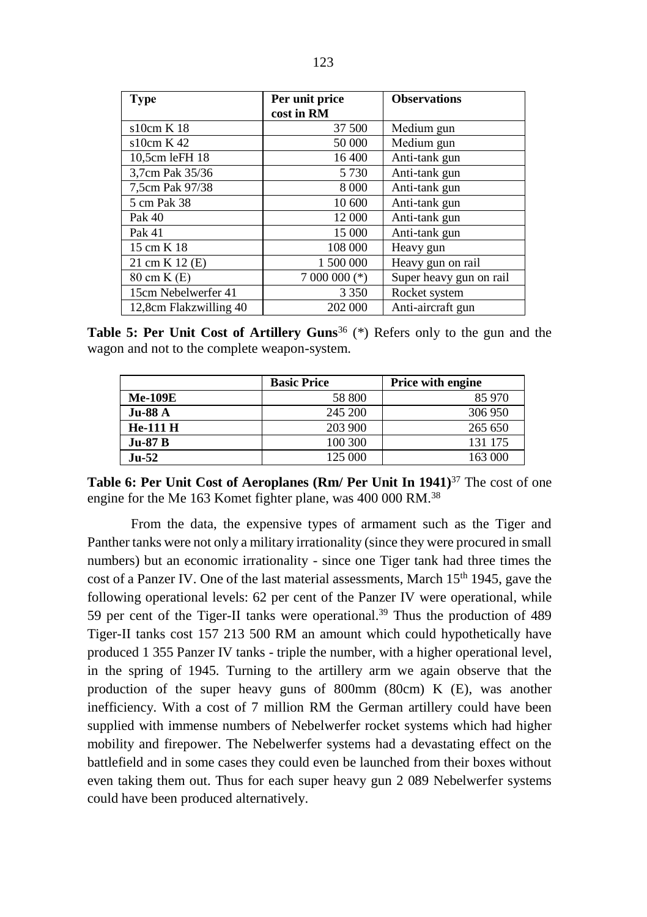| <b>Type</b>            | Per unit price | <b>Observations</b>     |  |
|------------------------|----------------|-------------------------|--|
|                        | cost in RM     |                         |  |
| s10cm K 18             | 37 500         | Medium gun              |  |
| s10cm K42              | 50 000         | Medium gun              |  |
| 10,5cm leFH 18         | 16 400         | Anti-tank gun           |  |
| 3,7cm Pak 35/36        | 5 7 3 0        | Anti-tank gun           |  |
| 7,5cm Pak 97/38        | 8 0 0 0        | Anti-tank gun           |  |
| 5 cm Pak 38            | 10 600         | Anti-tank gun           |  |
| Pak 40                 | 12 000         | Anti-tank gun           |  |
| Pak 41                 | 15 000         | Anti-tank gun           |  |
| 15 cm K 18             | 108 000        | Heavy gun               |  |
| 21 cm K 12 (E)         | 1 500 000      | Heavy gun on rail       |  |
| 80 cm K (E)            | $7000000$ (*)  | Super heavy gun on rail |  |
| 15cm Nebelwerfer 41    | 3 3 5 0        | Rocket system           |  |
| 12,8cm Flakzwilling 40 | 202 000        | Anti-aircraft gun       |  |

**Table 5: Per Unit Cost of Artillery Guns<sup>36</sup> (\*) Refers only to the gun and the** wagon and not to the complete weapon-system.

|                | <b>Basic Price</b> | <b>Price with engine</b> |
|----------------|--------------------|--------------------------|
| <b>Me-109E</b> | 58 800             | 85 970                   |
| <b>Ju-88 A</b> | 245 200            | 306 950                  |
| He-111 H       | 203 900            | 265 650                  |
| <b>Ju-87 B</b> | 100 300            | 131 175                  |
| $Ju-52$        | 125 000            | 163 000                  |

**Table 6: Per Unit Cost of Aeroplanes (Rm/ Per Unit In 1941)**<sup>37</sup> The cost of one engine for the Me 163 Komet fighter plane, was 400 000 RM.<sup>38</sup>

From the data, the expensive types of armament such as the Tiger and Panther tanks were not only a military irrationality (since they were procured in small numbers) but an economic irrationality - since one Tiger tank had three times the cost of a Panzer IV. One of the last material assessments, March 15<sup>th</sup> 1945, gave the following operational levels: 62 per cent of the Panzer IV were operational, while 59 per cent of the Tiger-ΙΙ tanks were operational. <sup>39</sup> Thus the production of 489 Tiger-ΙΙ tanks cost 157 213 500 RM an amount which could hypothetically have produced 1 355 Panzer IV tanks - triple the number, with a higher operational level, in the spring of 1945. Turning to the artillery arm we again observe that the production of the super heavy guns of 800mm (80cm) K (E), was another inefficiency. With a cost of 7 million RM the German artillery could have been supplied with immense numbers of Nebelwerfer rocket systems which had higher mobility and firepower. The Nebelwerfer systems had a devastating effect on the battlefield and in some cases they could even be launched from their boxes without even taking them out. Thus for each super heavy gun 2 089 Nebelwerfer systems could have been produced alternatively.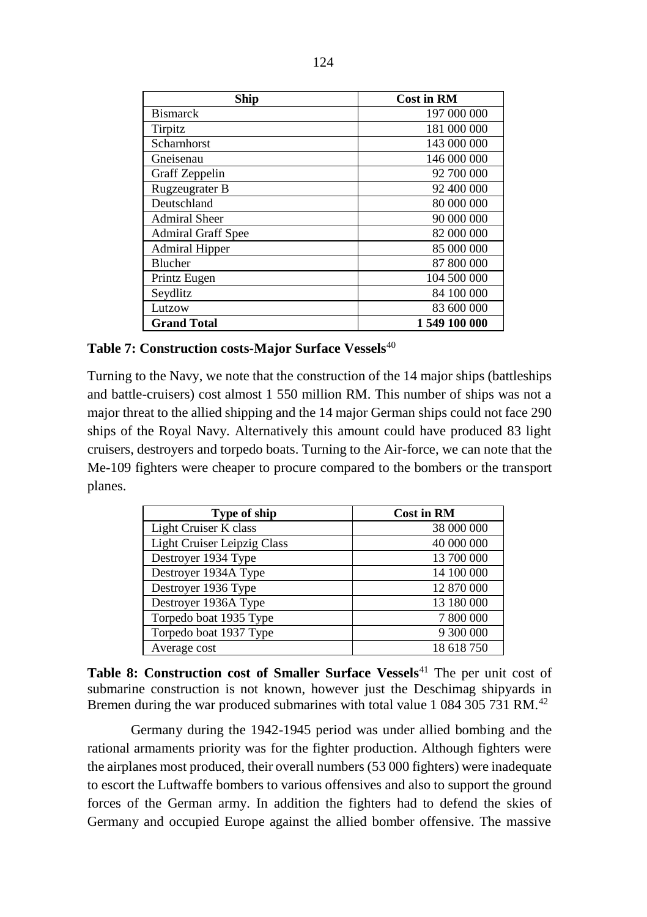| Ship                      | <b>Cost in RM</b> |
|---------------------------|-------------------|
| <b>Bismarck</b>           | 197 000 000       |
| Tirpitz                   | 181 000 000       |
| Scharnhorst               | 143 000 000       |
| Gneisenau                 | 146 000 000       |
| Graff Zeppelin            | 92 700 000        |
| Rugzeugrater B            | 92 400 000        |
| Deutschland               | 80 000 000        |
| <b>Admiral Sheer</b>      | 90 000 000        |
| <b>Admiral Graff Spee</b> | 82 000 000        |
| <b>Admiral Hipper</b>     | 85 000 000        |
| <b>Blucher</b>            | 87 800 000        |
| Printz Eugen              | 104 500 000       |
| Seydlitz                  | 84 100 000        |
| Lutzow                    | 83 600 000        |
| <b>Grand Total</b>        | 1549 100 000      |

# **Table 7: Construction costs-Major Surface Vessels**<sup>40</sup>

Turning to the Navy, we note that the construction of the 14 major ships (battleships and battle-cruisers) cost almost 1 550 million RM. This number of ships was not a major threat to the allied shipping and the 14 major German ships could not face 290 ships of the Royal Navy. Alternatively this amount could have produced 83 light cruisers, destroyers and torpedo boats. Turning to the Air-force, we can note that the Me-109 fighters were cheaper to procure compared to the bombers or the transport planes.

| Type of ship                       | <b>Cost in RM</b> |
|------------------------------------|-------------------|
| Light Cruiser K class              | 38 000 000        |
| <b>Light Cruiser Leipzig Class</b> | 40 000 000        |
| Destroyer 1934 Type                | 13 700 000        |
| Destroyer 1934A Type               | 14 100 000        |
| Destroyer 1936 Type                | 12 870 000        |
| Destroyer 1936A Type               | 13 180 000        |
| Torpedo boat 1935 Type             | 7 800 000         |
| Torpedo boat 1937 Type             | 9 300 000         |
| Average cost                       | 18 618 750        |

Table 8: Construction cost of Smaller Surface Vessels<sup>41</sup> The per unit cost of submarine construction is not known, however just the Deschimag shipyards in Bremen during the war produced submarines with total value 1 084 305 731 RM.<sup>42</sup>

Germany during the 1942-1945 period was under allied bombing and the rational armaments priority was for the fighter production. Although fighters were the airplanes most produced, their overall numbers (53 000 fighters) were inadequate to escort the Luftwaffe bombers to various offensives and also to support the ground forces of the German army. In addition the fighters had to defend the skies of Germany and occupied Europe against the allied bomber offensive. The massive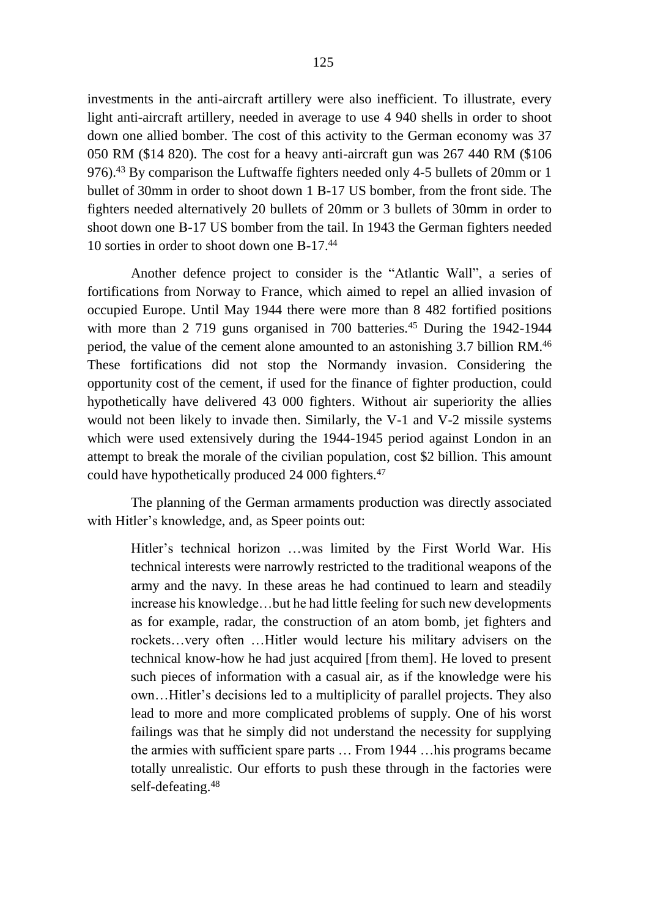investments in the anti-aircraft artillery were also inefficient. To illustrate, every light anti-aircraft artillery, needed in average to use 4 940 shells in order to shoot down one allied bomber. The cost of this activity to the German economy was 37 050 RM (\$14 820). The cost for a heavy anti-aircraft gun was 267 440 RΜ (\$106 976).<sup>43</sup> By comparison the Luftwaffe fighters needed only 4-5 bullets of 20mm or 1 bullet of 30mm in order to shoot down 1 Β-17 US bomber, from the front side. The fighters needed alternatively 20 bullets of 20mm or 3 bullets of 30mm in order to shoot down one B-17 US bomber from the tail. In 1943 the German fighters needed 10 sorties in order to shoot down one Β-17.<sup>44</sup>

Another defence project to consider is the "Atlantic Wall", a series of fortifications from Norway to France, which aimed to repel an allied invasion of occupied Europe. Until May 1944 there were more than 8 482 fortified positions with more than  $2\,719$  guns organised in 700 batteries.<sup>45</sup> During the 1942-1944 period, the value of the cement alone amounted to an astonishing 3.7 billion RM.<sup>46</sup> These fortifications did not stop the Normandy invasion. Considering the opportunity cost of the cement, if used for the finance of fighter production, could hypothetically have delivered 43 000 fighters. Without air superiority the allies would not been likely to invade then. Similarly, the V-1 and V-2 missile systems which were used extensively during the 1944-1945 period against London in an attempt to break the morale of the civilian population, cost \$2 billion. This amount could have hypothetically produced 24 000 fighters.<sup>47</sup>

The planning of the German armaments production was directly associated with Hitler's knowledge, and, as Speer points out:

Hitler's technical horizon …was limited by the First World War. His technical interests were narrowly restricted to the traditional weapons of the army and the navy. In these areas he had continued to learn and steadily increase his knowledge…but he had little feeling for such new developments as for example, radar, the construction of an atom bomb, jet fighters and rockets…very often …Hitler would lecture his military advisers on the technical know-how he had just acquired [from them]. He loved to present such pieces of information with a casual air, as if the knowledge were his own…Hitler's decisions led to a multiplicity of parallel projects. They also lead to more and more complicated problems of supply. One of his worst failings was that he simply did not understand the necessity for supplying the armies with sufficient spare parts … From 1944 …his programs became totally unrealistic. Our efforts to push these through in the factories were self-defeating. 48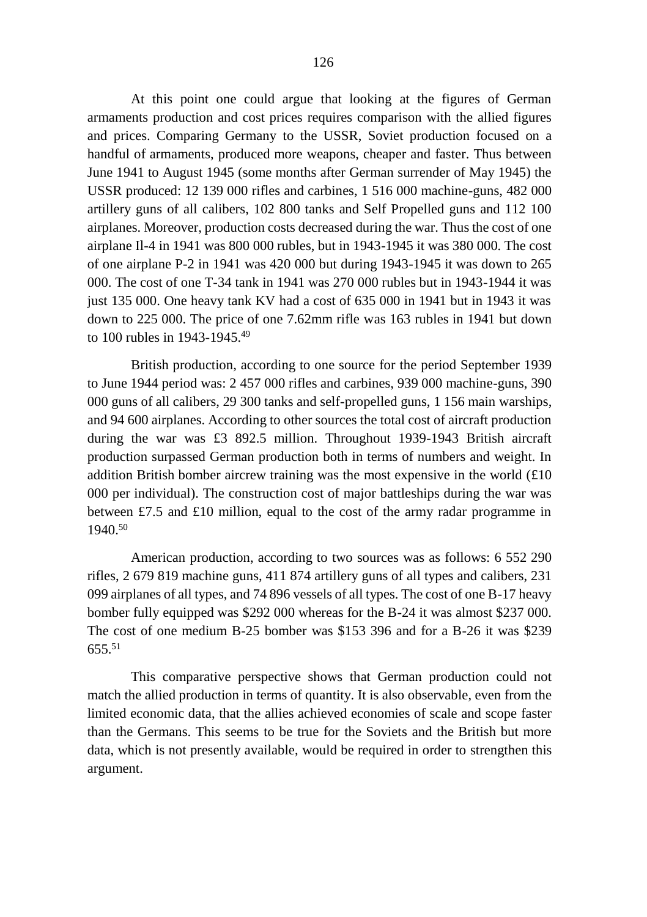At this point one could argue that looking at the figures of German armaments production and cost prices requires comparison with the allied figures and prices. Comparing Germany to the USSR, Soviet production focused on a handful of armaments, produced more weapons, cheaper and faster. Thus between June 1941 to August 1945 (some months after German surrender of May 1945) the USSR produced: 12 139 000 rifles and carbines, 1 516 000 machine-guns, 482 000 artillery guns of all calibers, 102 800 tanks and Self Propelled guns and 112 100 airplanes. Moreover, production costs decreased during the war. Thus the cost of one airplane Il-4 in 1941 was 800 000 rubles, but in 1943-1945 it was 380 000. The cost of one airplane P-2 in 1941 was 420 000 but during 1943-1945 it was down to 265 000. The cost of one T-34 tank in 1941 was 270 000 rubles but in 1943-1944 it was just 135 000. One heavy tank KV had a cost of 635 000 in 1941 but in 1943 it was down to 225 000. The price of one 7.62mm rifle was 163 rubles in 1941 but down to 100 rubles in 1943-1945.<sup>49</sup>

British production, according to one source for the period September 1939 to June 1944 period was: 2 457 000 rifles and carbines, 939 000 machine-guns, 390 000 guns of all calibers, 29 300 tanks and self-propelled guns, 1 156 main warships, and 94 600 airplanes. According to other sources the total cost of aircraft production during the war was £3 892.5 million. Throughout 1939-1943 British aircraft production surpassed German production both in terms of numbers and weight. In addition British bomber aircrew training was the most expensive in the world  $(E10)$ 000 per individual). The construction cost of major battleships during the war was between £7.5 and £10 million, equal to the cost of the army radar programme in 1940.<sup>50</sup>

American production, according to two sources was as follows: 6 552 290 rifles, 2 679 819 machine guns, 411 874 artillery guns of all types and calibers, 231 099 airplanes of all types, and 74 896 vessels of all types. The cost of one B-17 heavy bomber fully equipped was \$292 000 whereas for the B-24 it was almost \$237 000. The cost of one medium B-25 bomber was \$153 396 and for a B-26 it was \$239  $655.^{51}$ 

This comparative perspective shows that German production could not match the allied production in terms of quantity. It is also observable, even from the limited economic data, that the allies achieved economies of scale and scope faster than the Germans. This seems to be true for the Soviets and the British but more data, which is not presently available, would be required in order to strengthen this argument.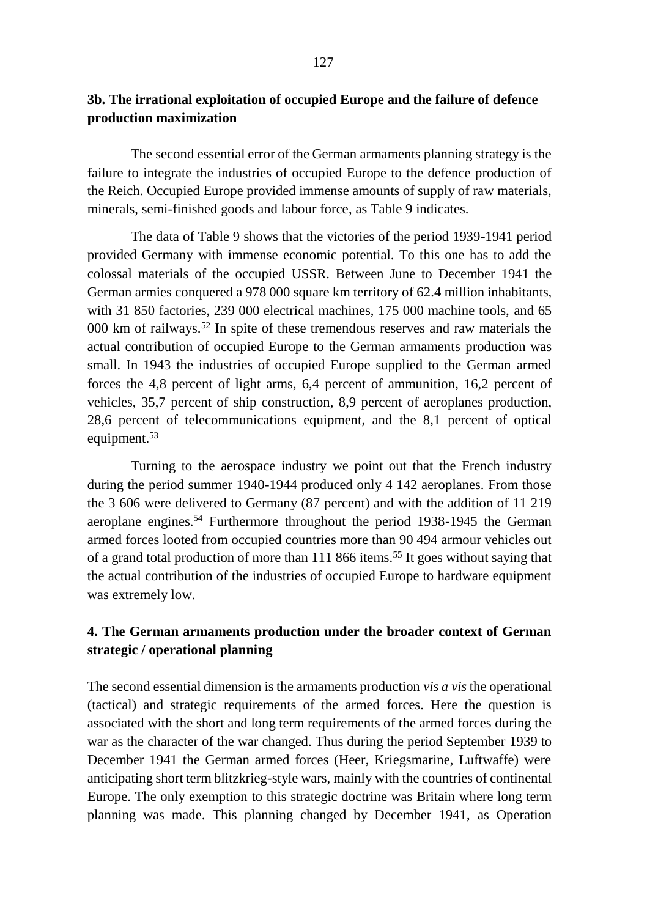# **3b. The irrational exploitation of occupied Europe and the failure of defence production maximization**

The second essential error of the German armaments planning strategy is the failure to integrate the industries of occupied Europe to the defence production of the Reich. Occupied Europe provided immense amounts of supply of raw materials, minerals, semi-finished goods and labour force, as Table 9 indicates.

The data of Table 9 shows that the victories of the period 1939-1941 period provided Germany with immense economic potential. To this one has to add the colossal materials of the occupied USSR. Between June to December 1941 the German armies conquered a 978 000 square km territory of 62.4 million inhabitants, with 31 850 factories, 239 000 electrical machines, 175 000 machine tools, and 65 000 km of railways.<sup>52</sup> In spite of these tremendous reserves and raw materials the actual contribution of occupied Europe to the German armaments production was small. In 1943 the industries of occupied Europe supplied to the German armed forces the 4,8 percent of light arms, 6,4 percent of ammunition, 16,2 percent of vehicles, 35,7 percent of ship construction, 8,9 percent of aeroplanes production, 28,6 percent of telecommunications equipment, and the 8,1 percent of optical equipment.<sup>53</sup>

Turning to the aerospace industry we point out that the French industry during the period summer 1940-1944 produced only 4 142 aeroplanes. From those the 3 606 were delivered to Germany (87 percent) and with the addition of 11 219 aeroplane engines.<sup>54</sup> Furthermore throughout the period 1938-1945 the German armed forces looted from occupied countries more than 90 494 armour vehicles out of a grand total production of more than 111 866 items.<sup>55</sup> It goes without saying that the actual contribution of the industries of occupied Europe to hardware equipment was extremely low.

# **4. The German armaments production under the broader context of German strategic / operational planning**

The second essential dimension is the armaments production *vis a vis* the operational (tactical) and strategic requirements of the armed forces. Here the question is associated with the short and long term requirements of the armed forces during the war as the character of the war changed. Thus during the period September 1939 to December 1941 the German armed forces (Heer, Kriegsmarine, Luftwaffe) were anticipating short term blitzkrieg-style wars, mainly with the countries of continental Europe. The only exemption to this strategic doctrine was Britain where long term planning was made. This planning changed by December 1941, as Operation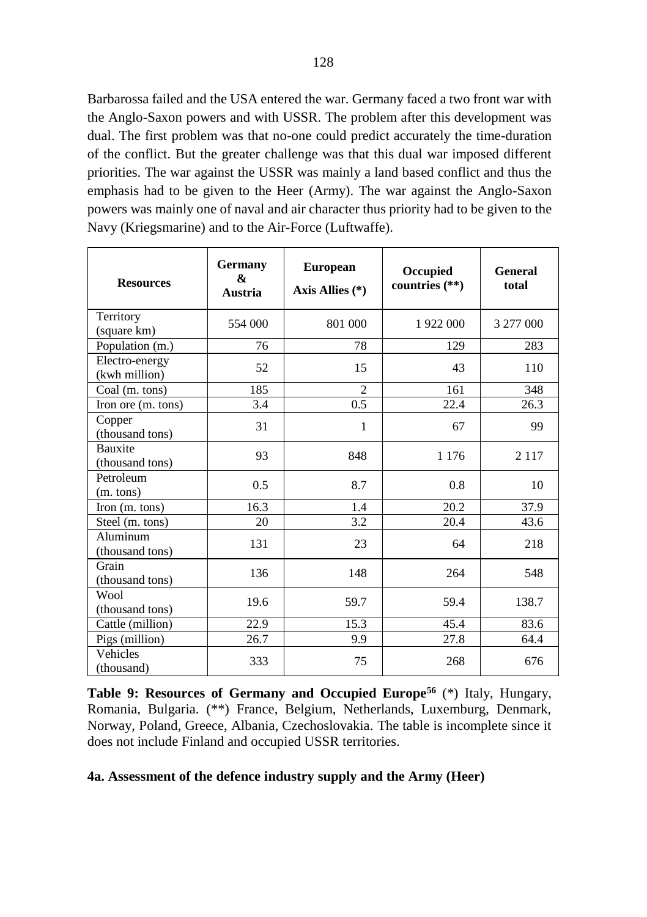Barbarossa failed and the USA entered the war. Germany faced a two front war with the Anglo-Saxon powers and with USSR. The problem after this development was dual. The first problem was that no-one could predict accurately the time-duration of the conflict. But the greater challenge was that this dual war imposed different priorities. The war against the USSR was mainly a land based conflict and thus the emphasis had to be given to the Heer (Army). The war against the Anglo-Saxon powers was mainly one of naval and air character thus priority had to be given to the Navy (Kriegsmarine) and to the Air-Force (Luftwaffe).

| <b>Resources</b>                  | Germany<br>&<br>Austria | <b>European</b><br>Axis Allies (*) | Occupied<br>countries $(**)$ | General<br>total |
|-----------------------------------|-------------------------|------------------------------------|------------------------------|------------------|
| Territory<br>(square km)          | 554 000                 | 801 000                            | 1922 000                     | 3 277 000        |
| Population (m.)                   | 76                      | 78                                 | 129                          | 283              |
| Electro-energy<br>(kwh million)   | 52                      | 15                                 | 43                           | 110              |
| Coal (m. tons)                    | 185                     | $\overline{2}$                     | 161                          | 348              |
| Iron ore (m. tons)                | 3.4                     | 0.5                                | 22.4                         | 26.3             |
| Copper<br>(thousand tons)         | 31                      | 1                                  | 67                           | 99               |
| <b>Bauxite</b><br>(thousand tons) | 93                      | 848                                | 1 1 7 6                      | 2 1 1 7          |
| Petroleum<br>(m. tons)            | $0.5^{\circ}$           | 8.7                                | 0.8                          | 10               |
| Iron $(m. \text{ tons})$          | 16.3                    | 1.4                                | 20.2                         | 37.9             |
| Steel (m. tons)                   | 20                      | 3.2                                | 20.4                         | 43.6             |
| Aluminum<br>(thousand tons)       | 131                     | 23                                 | 64                           | 218              |
| Grain<br>(thousand tons)          | 136                     | 148                                | 264                          | 548              |
| Wool<br>(thousand tons)           | 19.6                    | 59.7                               | 59.4                         | 138.7            |
| Cattle (million)                  | 22.9                    | 15.3                               | 45.4                         | 83.6             |
| Pigs (million)                    | 26.7                    | 9.9                                | 27.8                         | 64.4             |
| Vehicles<br>(thousand)            | 333                     | 75                                 | 268                          | 676              |

**Table 9: Resources of Germany and Occupied Europe<sup>56</sup>** (\*) Italy, Hungary, Romania, Bulgaria. (\*\*) France, Belgium, Netherlands, Luxemburg, Denmark, Norway, Poland, Greece, Albania, Czechoslovakia. The table is incomplete since it does not include Finland and occupied USSR territories.

### **4a. Assessment of the defence industry supply and the Army (Heer)**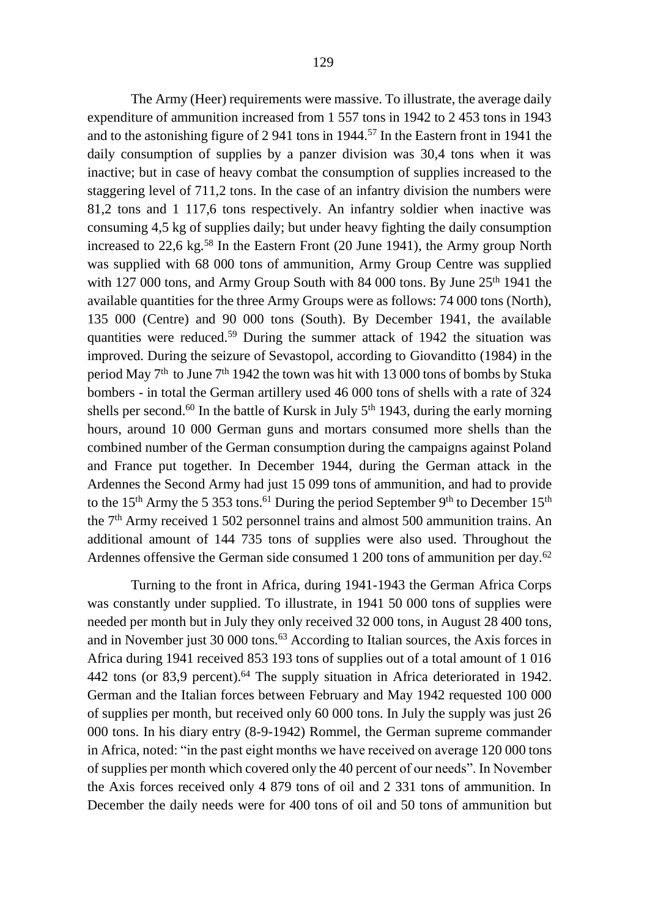The Army (Heer) requirements were massive. To illustrate, the average daily expenditure of ammunition increased from 1 557 tons in 1942 to 2 453 tons in 1943 and to the astonishing figure of 2 941 tons in 1944.<sup>57</sup> In the Eastern front in 1941 the daily consumption of supplies by a panzer division was 30,4 tons when it was inactive; but in case of heavy combat the consumption of supplies increased to the staggering level of 711,2 tons. In the case of an infantry division the numbers were 81,2 tons and 1 117,6 tons respectively. An infantry soldier when inactive was consuming 4,5 kg of supplies daily; but under heavy fighting the daily consumption increased to 22,6 kg.<sup>58</sup> In the Eastern Front (20 June 1941), the Army group North was supplied with 68 000 tons of ammunition, Army Group Centre was supplied with 127 000 tons, and Army Group South with 84 000 tons. By June 25<sup>th</sup> 1941 the available quantities for the three Army Groups were as follows: 74 000 tons (North), 135 000 (Centre) and 90 000 tons (South). By December 1941, the available quantities were reduced.<sup>59</sup> During the summer attack of 1942 the situation was

improved. During the seizure of Sevastopol, according to Giovanditto (1984) in the period May  $7<sup>th</sup>$  to June  $7<sup>th</sup>$  1942 the town was hit with 13 000 tons of bombs by Stuka bombers - in total the German artillery used 46 000 tons of shells with a rate of 324 shells per second.<sup>60</sup> In the battle of Kursk in July  $5<sup>th</sup>$  1943, during the early morning hours, around 10 000 German guns and mortars consumed more shells than the combined number of the German consumption during the campaigns against Poland and France put together. In December 1944, during the German attack in the Ardennes the Second Army had just 15 099 tons of ammunition, and had to provide to the 15<sup>th</sup> Army the 5 353 tons.<sup>61</sup> During the period September 9<sup>th</sup> to December 15<sup>th</sup> the 7th Army received 1 502 personnel trains and almost 500 ammunition trains. An additional amount of 144 735 tons of supplies were also used. Throughout the Ardennes offensive the German side consumed 1 200 tons of ammunition per day.<sup>62</sup>

Turning to the front in Africa, during 1941-1943 the German Africa Corps was constantly under supplied. To illustrate, in 1941 50 000 tons of supplies were needed per month but in July they only received 32 000 tons, in August 28 400 tons, and in November just 30 000 tons.<sup>63</sup> According to Italian sources, the Axis forces in Africa during 1941 received 853 193 tons of supplies out of a total amount of 1 016 442 tons (or 83.9 percent).<sup>64</sup> The supply situation in Africa deteriorated in 1942. German and the Italian forces between February and May 1942 requested 100 000 of supplies per month, but received only 60 000 tons. In July the supply was just 26 000 tons. In his diary entry (8-9-1942) Rommel, the German supreme commander in Africa, noted: "in the past eight months we have received on average 120 000 tons of supplies per month which covered only the 40 percent of our needs". In November the Axis forces received only 4 879 tons of oil and 2 331 tons of ammunition. In December the daily needs were for 400 tons of oil and 50 tons of ammunition but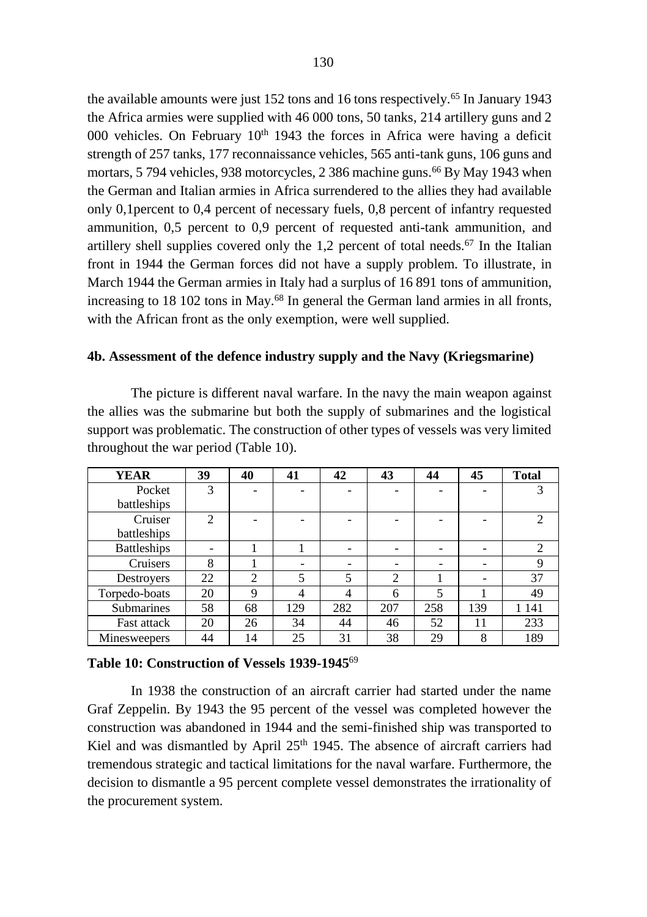the available amounts were just 152 tons and 16 tons respectively.<sup>65</sup> In January 1943 the Africa armies were supplied with 46 000 tons, 50 tanks, 214 artillery guns and 2 000 vehicles. On February  $10<sup>th</sup> 1943$  the forces in Africa were having a deficit strength of 257 tanks, 177 reconnaissance vehicles, 565 anti-tank guns, 106 guns and mortars, 5 794 vehicles, 938 motorcycles, 2 386 machine guns.<sup>66</sup> By May 1943 when the German and Italian armies in Africa surrendered to the allies they had available only 0,1percent to 0,4 percent of necessary fuels, 0,8 percent of infantry requested ammunition, 0,5 percent to 0,9 percent of requested anti-tank ammunition, and artillery shell supplies covered only the  $1.2$  percent of total needs.<sup>67</sup> In the Italian front in 1944 the German forces did not have a supply problem. To illustrate, in March 1944 the German armies in Italy had a surplus of 16 891 tons of ammunition, increasing to 18 102 tons in May. <sup>68</sup> In general the German land armies in all fronts, with the African front as the only exemption, were well supplied.

#### **4b. Assessment of the defence industry supply and the Navy (Kriegsmarine)**

The picture is different naval warfare. In the navy the main weapon against the allies was the submarine but both the supply of submarines and the logistical support was problematic. The construction of other types of vessels was very limited throughout the war period (Table 10).

| <b>YEAR</b>        | 39             | 40             | 41  | 42  | 43  | 44  | 45  | <b>Total</b>   |
|--------------------|----------------|----------------|-----|-----|-----|-----|-----|----------------|
| Pocket             | 3              |                |     |     |     |     |     | 3              |
| battleships        |                |                |     |     |     |     |     |                |
| Cruiser            | $\mathfrak{D}$ |                |     |     |     |     |     | $\mathfrak{D}$ |
| battleships        |                |                |     |     |     |     |     |                |
| <b>Battleships</b> |                |                |     |     |     |     |     | 2              |
| Cruisers           | 8              |                |     |     |     |     |     | 9              |
| Destroyers         | 22             | $\overline{c}$ | 5   | 5   | 2   |     |     | 37             |
| Torpedo-boats      | 20             | $\mathbf Q$    | 4   | 4   | 6   | 5   |     | 49             |
| <b>Submarines</b>  | 58             | 68             | 129 | 282 | 207 | 258 | 139 | 1 141          |
| Fast attack        | 20             | 26             | 34  | 44  | 46  | 52  | 11  | 233            |
| Minesweepers       | 44             | 14             | 25  | 31  | 38  | 29  | 8   | 189            |

# **Table 10: Construction of Vessels 1939-1945**<sup>69</sup>

In 1938 the construction of an aircraft carrier had started under the name Graf Zeppelin. By 1943 the 95 percent of the vessel was completed however the construction was abandoned in 1944 and the semi-finished ship was transported to Kiel and was dismantled by April 25<sup>th</sup> 1945. The absence of aircraft carriers had tremendous strategic and tactical limitations for the naval warfare. Furthermore, the decision to dismantle a 95 percent complete vessel demonstrates the irrationality of the procurement system.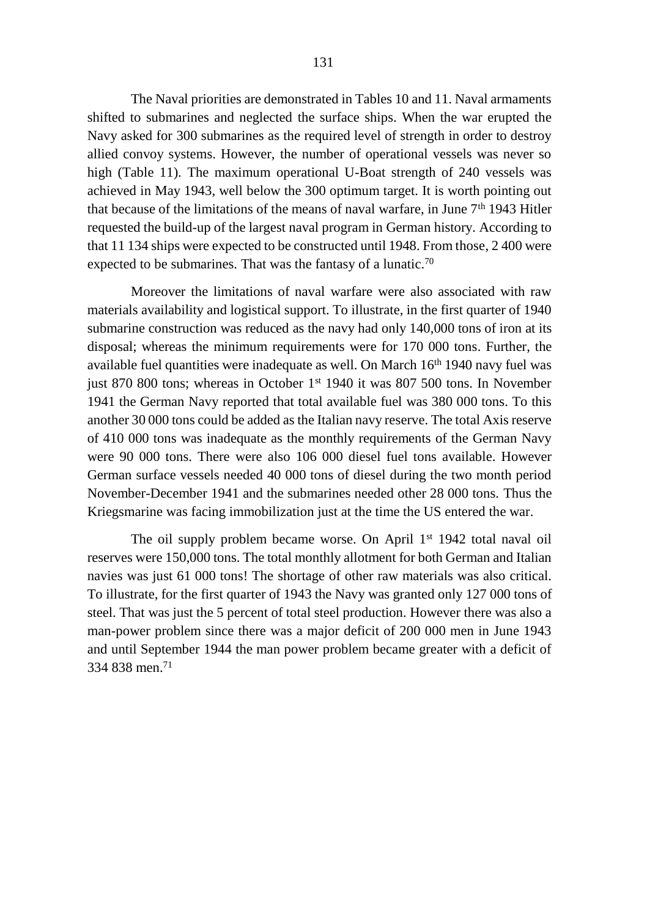The Naval priorities are demonstrated in Tables 10 and 11. Naval armaments shifted to submarines and neglected the surface ships. When the war erupted the Navy asked for 300 submarines as the required level of strength in order to destroy allied convoy systems. However, the number of operational vessels was never so high (Table 11). The maximum operational U-Boat strength of 240 vessels was achieved in May 1943, well below the 300 optimum target. It is worth pointing out that because of the limitations of the means of naval warfare, in June  $7<sup>th</sup>$  1943 Hitler requested the build-up of the largest naval program in German history. According to that 11 134 ships were expected to be constructed until 1948. From those, 2 400 were expected to be submarines. That was the fantasy of a lunatic.<sup>70</sup>

Moreover the limitations of naval warfare were also associated with raw materials availability and logistical support. To illustrate, in the first quarter of 1940 submarine construction was reduced as the navy had only 140,000 tons of iron at its disposal; whereas the minimum requirements were for 170 000 tons. Further, the available fuel quantities were inadequate as well. On March 16<sup>th</sup> 1940 navy fuel was just 870 800 tons; whereas in October 1<sup>st</sup> 1940 it was 807 500 tons. In November 1941 the German Navy reported that total available fuel was 380 000 tons. To this another 30 000 tons could be added as the Italian navy reserve. The total Axis reserve of 410 000 tons was inadequate as the monthly requirements of the German Navy were 90 000 tons. There were also 106 000 diesel fuel tons available. However German surface vessels needed 40 000 tons of diesel during the two month period November-December 1941 and the submarines needed other 28 000 tons. Thus the Kriegsmarine was facing immobilization just at the time the US entered the war.

The oil supply problem became worse. On April 1<sup>st</sup> 1942 total naval oil reserves were 150,000 tons. The total monthly allotment for both German and Italian navies was just 61 000 tons! The shortage of other raw materials was also critical. To illustrate, for the first quarter of 1943 the Navy was granted only 127 000 tons of steel. That was just the 5 percent of total steel production. However there was also a man-power problem since there was a major deficit of 200 000 men in June 1943 and until September 1944 the man power problem became greater with a deficit of 334 838 men.71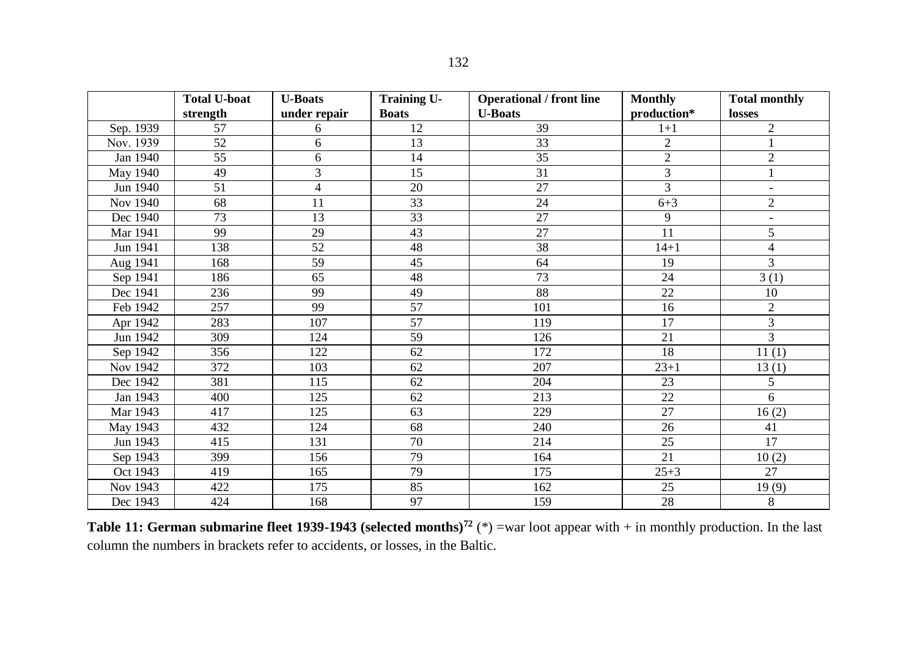|           | <b>Total U-boat</b><br>strength | <b>U-Boats</b><br>under repair | <b>Training U-</b><br><b>Boats</b> | <b>Operational / front line</b><br><b>U-Boats</b> | <b>Monthly</b><br>production* | <b>Total monthly</b><br>losses |
|-----------|---------------------------------|--------------------------------|------------------------------------|---------------------------------------------------|-------------------------------|--------------------------------|
| Sep. 1939 | 57                              | 6                              | 12                                 | 39                                                | $1 + 1$                       | $\overline{2}$                 |
| Nov. 1939 | 52                              | 6                              | 13                                 | 33                                                | $\overline{c}$                |                                |
| Jan 1940  | $\overline{55}$                 | 6                              | 14                                 | $\overline{35}$                                   | $\mathfrak{2}$                | $\mathfrak{2}$                 |
| May 1940  | 49                              | $\overline{3}$                 | $\overline{15}$                    | 31                                                | $\overline{3}$                |                                |
| Jun 1940  | 51                              | 4                              | 20                                 | 27                                                | 3                             | ÷,                             |
| Nov 1940  | 68                              | 11                             | 33                                 | 24                                                | $6 + 3$                       | $\mathfrak{2}$                 |
| Dec 1940  | 73                              | 13                             | 33                                 | 27                                                | 9                             | $\overline{a}$                 |
| Mar 1941  | 99                              | 29                             | 43                                 | 27                                                | 11                            | 5                              |
| Jun 1941  | 138                             | 52                             | 48                                 | 38                                                | $14 + 1$                      | $\overline{4}$                 |
| Aug 1941  | 168                             | 59                             | 45                                 | 64                                                | 19                            | 3                              |
| Sep 1941  | 186                             | 65                             | 48                                 | 73                                                | 24                            | 3(1)                           |
| Dec 1941  | 236                             | 99                             | 49                                 | 88                                                | 22                            | 10                             |
| Feb 1942  | 257                             | 99                             | 57                                 | 101                                               | 16                            | $\mathfrak{2}$                 |
| Apr 1942  | 283                             | 107                            | 57                                 | 119                                               | 17                            | 3                              |
| Jun 1942  | 309                             | 124                            | 59                                 | 126                                               | 21                            | 3                              |
| Sep 1942  | 356                             | 122                            | 62                                 | 172                                               | 18                            | 11(1)                          |
| Nov 1942  | 372                             | 103                            | 62                                 | 207                                               | $23 + 1$                      | 13(1)                          |
| Dec 1942  | 381                             | 115                            | 62                                 | 204                                               | 23                            | 5                              |
| Jan 1943  | 400                             | 125                            | 62                                 | 213                                               | 22                            | 6                              |
| Mar 1943  | 417                             | 125                            | 63                                 | 229                                               | 27                            | 16(2)                          |
| May 1943  | 432                             | 124                            | 68                                 | 240                                               | 26                            | 41                             |
| Jun 1943  | 415                             | 131                            | 70                                 | 214                                               | 25                            | 17                             |
| Sep 1943  | 399                             | 156                            | 79                                 | 164                                               | 21                            | 10(2)                          |
| Oct 1943  | 419                             | 165                            | 79                                 | 175                                               | $25 + 3$                      | 27                             |
| Nov 1943  | 422                             | 175                            | 85                                 | 162                                               | 25                            | 19(9)                          |
| Dec 1943  | 424                             | 168                            | 97                                 | 159                                               | 28                            | 8                              |

**Table 11: German submarine fleet 1939-1943 (selected months)<sup>72</sup>** (\*) =war loot appear with + in monthly production. In the last column the numbers in brackets refer to accidents, or losses, in the Baltic.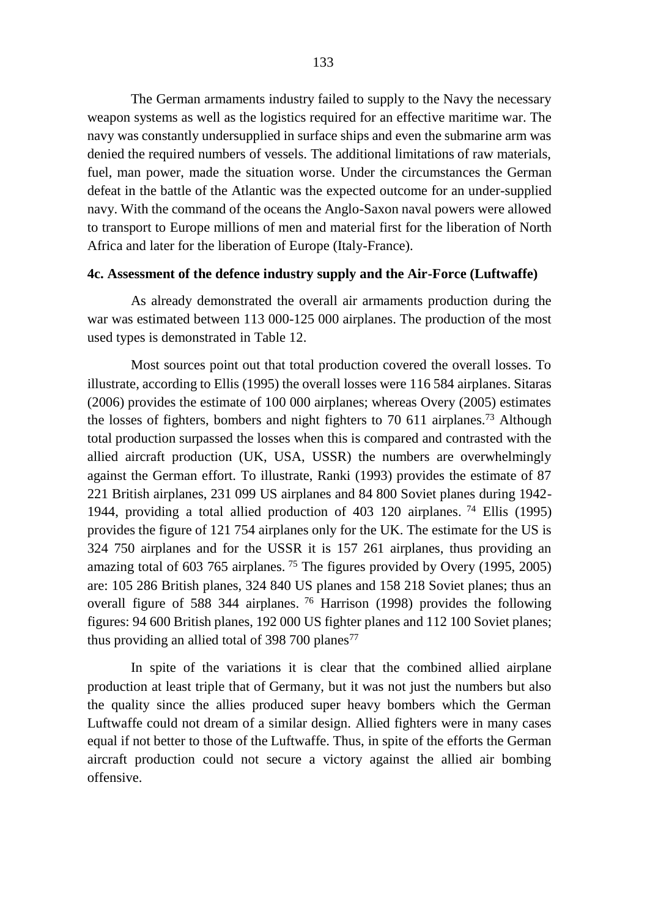The German armaments industry failed to supply to the Navy the necessary weapon systems as well as the logistics required for an effective maritime war. The navy was constantly undersupplied in surface ships and even the submarine arm was denied the required numbers of vessels. The additional limitations of raw materials, fuel, man power, made the situation worse. Under the circumstances the German defeat in the battle of the Atlantic was the expected outcome for an under-supplied navy. With the command of the oceans the Anglo-Saxon naval powers were allowed to transport to Europe millions of men and material first for the liberation of North Africa and later for the liberation of Europe (Italy-France).

# **4c. Assessment of the defence industry supply and the Air-Force (Luftwaffe)**

As already demonstrated the overall air armaments production during the war was estimated between 113 000-125 000 airplanes. The production of the most used types is demonstrated in Table 12.

Most sources point out that total production covered the overall losses. To illustrate, according to Ellis (1995) the overall losses were 116 584 airplanes. Sitaras (2006) provides the estimate of 100 000 airplanes; whereas Overy (2005) estimates the losses of fighters, bombers and night fighters to 70 611 airplanes.<sup>73</sup> Although total production surpassed the losses when this is compared and contrasted with the allied aircraft production (UK, USA, USSR) the numbers are overwhelmingly against the German effort. To illustrate, Ranki (1993) provides the estimate of 87 221 British airplanes, 231 099 US airplanes and 84 800 Soviet planes during 1942- 1944, providing a total allied production of 403 120 airplanes. <sup>74</sup> Ellis (1995) provides the figure of 121 754 airplanes only for the UK. The estimate for the US is 324 750 airplanes and for the USSR it is 157 261 airplanes, thus providing an amazing total of 603 765 airplanes.<sup>75</sup> The figures provided by Overy (1995, 2005) are: 105 286 British planes, 324 840 US planes and 158 218 Soviet planes; thus an overall figure of 588 344 airplanes. <sup>76</sup> Harrison (1998) provides the following figures: 94 600 British planes, 192 000 US fighter planes and 112 100 Soviet planes; thus providing an allied total of 398 700 planes<sup>77</sup>

In spite of the variations it is clear that the combined allied airplane production at least triple that of Germany, but it was not just the numbers but also the quality since the allies produced super heavy bombers which the German Luftwaffe could not dream of a similar design. Allied fighters were in many cases equal if not better to those of the Luftwaffe. Thus, in spite of the efforts the German aircraft production could not secure a victory against the allied air bombing offensive.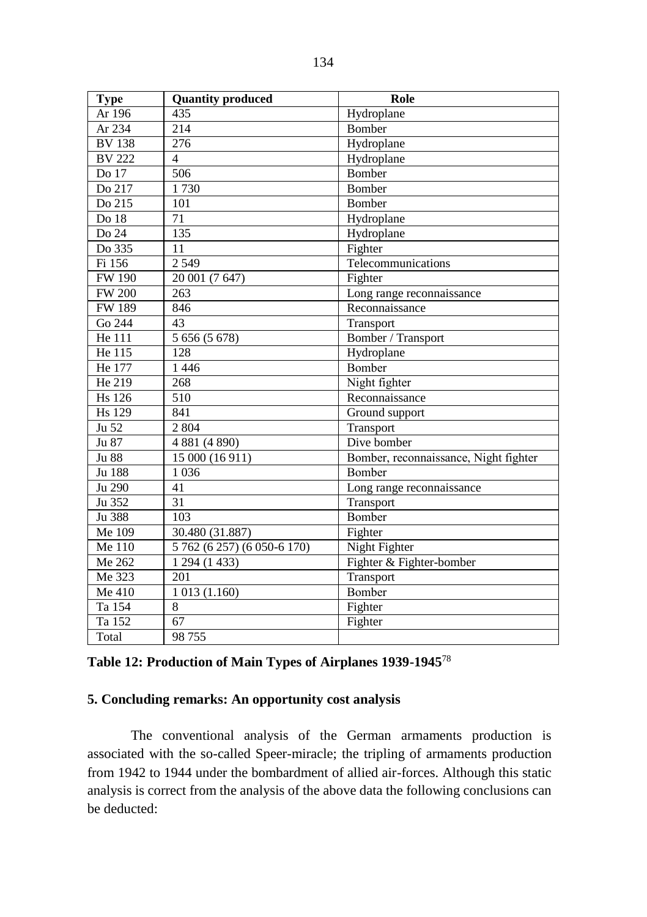| <b>Type</b>   | <b>Quantity produced</b>    | Role                                  |
|---------------|-----------------------------|---------------------------------------|
| Ar 196        | 435                         | Hydroplane                            |
| Ar 234        | 214                         | Bomber                                |
| <b>BV 138</b> | 276                         | Hydroplane                            |
| <b>BV 222</b> | $\overline{4}$              | Hydroplane                            |
| Do 17         | 506                         | <b>Bomber</b>                         |
| Do 217        | 1730                        | <b>Bomber</b>                         |
| Do 215        | 101                         | Bomber                                |
| Do 18         | 71                          | Hydroplane                            |
| Do 24         | 135                         | Hydroplane                            |
| Do 335        | 11                          | Fighter                               |
| Fi 156        | 2 5 4 9                     | Telecommunications                    |
| <b>FW 190</b> | 20 001 (7 647)              | Fighter                               |
| <b>FW 200</b> | 263                         | Long range reconnaissance             |
| <b>FW189</b>  | 846                         | Reconnaissance                        |
| Go 244        | 43                          | Transport                             |
| He 111        | 5 656 (5 678)               | Bomber / Transport                    |
| He 115        | 128                         | Hydroplane                            |
| He 177        | 1446                        | Bomber                                |
| He 219        | 268                         | Night fighter                         |
| <b>Hs</b> 126 | 510                         | Reconnaissance                        |
| <b>Hs</b> 129 | 841                         | Ground support                        |
| Ju 52         | 2 8 0 4                     | Transport                             |
| Ju 87         | 4 881 (4 890)               | Dive bomber                           |
| Ju 88         | 15 000 (16 911)             | Bomber, reconnaissance, Night fighter |
| Ju 188        | 1 0 3 6                     | Bomber                                |
| Ju 290        | 41                          | Long range reconnaissance             |
| Ju 352        | 31                          | Transport                             |
| Ju 388        | 103                         | <b>Bomber</b>                         |
| Me 109        | 30.480 (31.887)             | Fighter                               |
| Me 110        | 5 762 (6 257) (6 050-6 170) | Night Fighter                         |
| Me 262        | 1 294 (1 433)               | Fighter & Fighter-bomber              |
| Me 323        | 201                         | Transport                             |
| Me 410        | 1013(1.160)                 | <b>Bomber</b>                         |
| Ta 154        | 8                           | Fighter                               |
| Ta 152        | 67                          | Fighter                               |
| Total         | 98755                       |                                       |

# **5. Concluding remarks: An opportunity cost analysis**

The conventional analysis of the German armaments production is associated with the so-called Speer-miracle; the tripling of armaments production from 1942 to 1944 under the bombardment of allied air-forces. Although this static analysis is correct from the analysis of the above data the following conclusions can be deducted: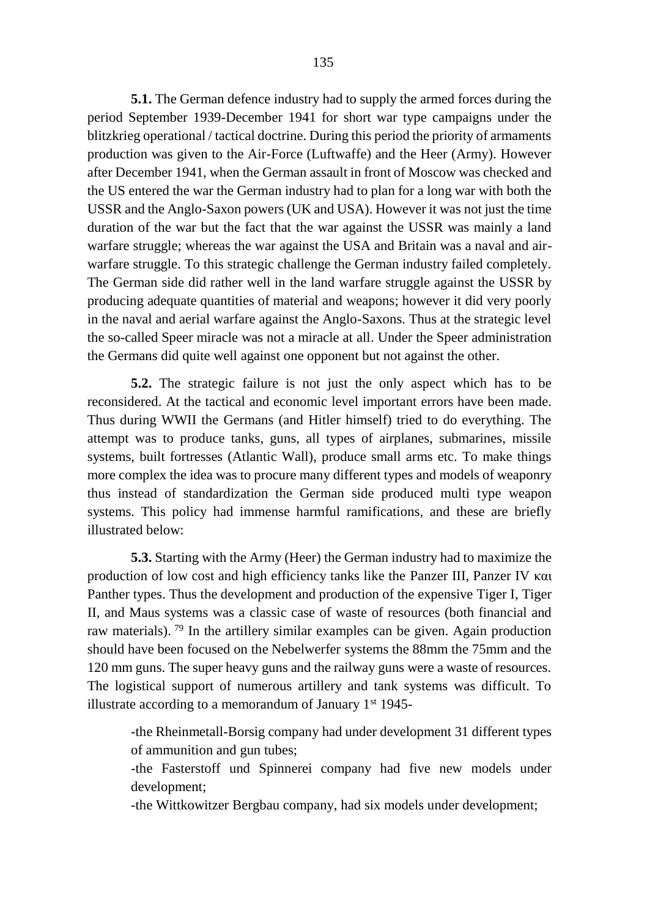**5.1.** The German defence industry had to supply the armed forces during the period September 1939-December 1941 for short war type campaigns under the blitzkrieg operational / tactical doctrine. During this period the priority of armaments production was given to the Air-Force (Luftwaffe) and the Heer (Army). However after December 1941, when the German assault in front of Moscow was checked and the US entered the war the German industry had to plan for a long war with both the USSR and the Anglo-Saxon powers (UK and USA). However it was not just the time duration of the war but the fact that the war against the USSR was mainly a land warfare struggle; whereas the war against the USA and Britain was a naval and airwarfare struggle. To this strategic challenge the German industry failed completely. The German side did rather well in the land warfare struggle against the USSR by producing adequate quantities of material and weapons; however it did very poorly in the naval and aerial warfare against the Anglo-Saxons. Thus at the strategic level the so-called Speer miracle was not a miracle at all. Under the Speer administration the Germans did quite well against one opponent but not against the other.

**5.2.** The strategic failure is not just the only aspect which has to be reconsidered. At the tactical and economic level important errors have been made. Thus during WWII the Germans (and Hitler himself) tried to do everything. The attempt was to produce tanks, guns, all types of airplanes, submarines, missile systems, built fortresses (Atlantic Wall), produce small arms etc. To make things more complex the idea was to procure many different types and models of weaponry thus instead of standardization the German side produced multi type weapon systems. This policy had immense harmful ramifications, and these are briefly illustrated below:

**5.3.** Starting with the Army (Heer) the German industry had to maximize the production of low cost and high efficiency tanks like the Panzer III, Panzer IV και Panther types. Thus the development and production of the expensive Tiger I, Tiger II, and Maus systems was a classic case of waste of resources (both financial and raw materials). <sup>79</sup> In the artillery similar examples can be given. Again production should have been focused on the Nebelwerfer systems the 88mm the 75mm and the 120 mm guns. The super heavy guns and the railway guns were a waste of resources. The logistical support of numerous artillery and tank systems was difficult. To illustrate according to a memorandum of January  $1^{st}$  1945-

-the Rheinmetall-Borsig company had under development 31 different types of ammunition and gun tubes;

-the Fasterstoff und Spinnerei company had five new models under development;

-the Wittkowitzer Bergbau company, had six models under development;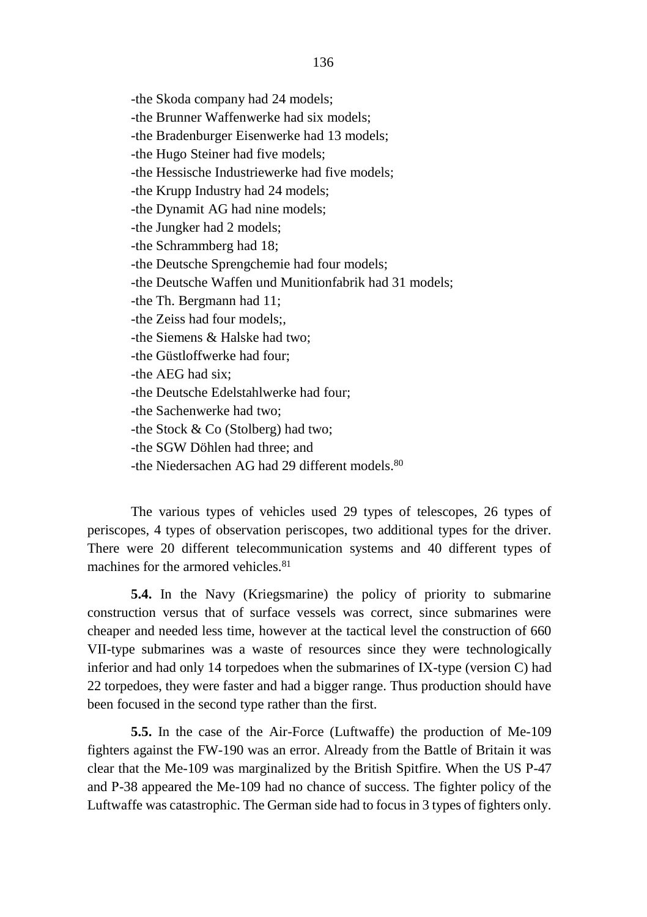-the Skoda company had 24 models; -the Brunner Waffenwerke had six models; -the Bradenburger Eisenwerke had 13 models; -the Hugo Steiner had five models; -the Hessische Industriewerke had five models; -the Krupp Industry had 24 models; -the Dynamit AG had nine models; -the Jungker had 2 models; -the Schrammberg had 18; -the Deutsche Sprengchemie had four models; -the Deutsche Waffen und Munitionfabrik had 31 models; -the Th. Bergmann had 11; -the Zeiss had four models;, -the Siemens & Halske had two; -the Güstloffwerke had four; -the ΑΕG had six; -the Deutsche Edelstahlwerke had four; -the Sachenwerke had two; -the Stock & Co (Stolberg) had two; -the SGW Döhlen had three; and -the Niedersachen AG had 29 different models. $80$ 

The various types of vehicles used 29 types of telescopes, 26 types of periscopes, 4 types of observation periscopes, two additional types for the driver. There were 20 different telecommunication systems and 40 different types of machines for the armored vehicles.<sup>81</sup>

**5.4.** In the Navy (Kriegsmarine) the policy of priority to submarine construction versus that of surface vessels was correct, since submarines were cheaper and needed less time, however at the tactical level the construction of 660 VII-type submarines was a waste of resources since they were technologically inferior and had only 14 torpedoes when the submarines of ΙΧ-type (version C) had 22 torpedoes, they were faster and had a bigger range. Thus production should have been focused in the second type rather than the first.

**5.5.** In the case of the Air-Force (Luftwaffe) the production of Me-109 fighters against the FW-190 was an error. Already from the Battle of Britain it was clear that the Me-109 was marginalized by the British Spitfire. When the US Ρ-47 and Ρ-38 appeared the Me-109 had no chance of success. The fighter policy of the Luftwaffe was catastrophic. The German side had to focus in 3 types of fighters only.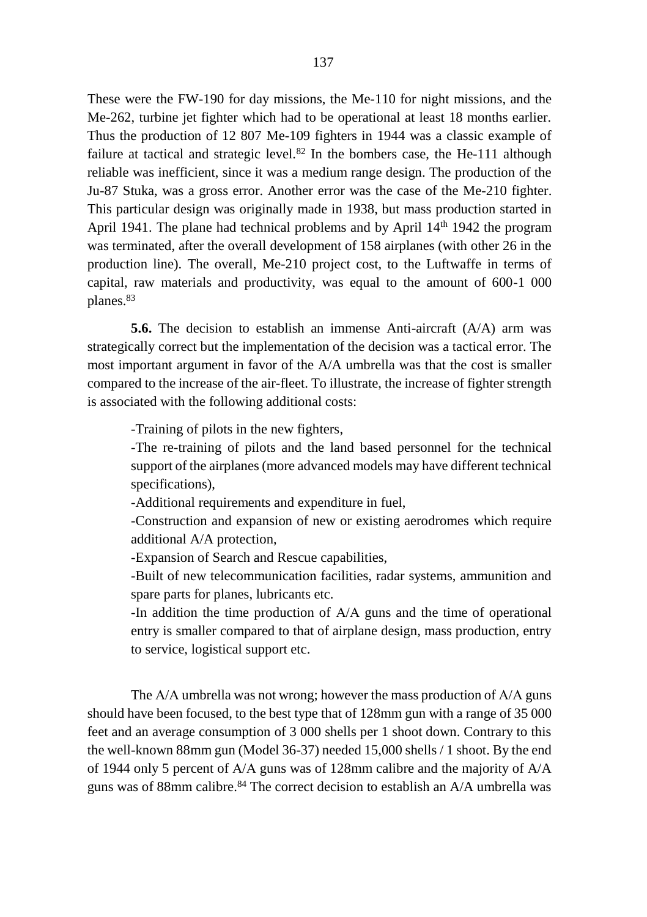Τhese were the FW-190 for day missions, the Me-110 for night missions, and the Me-262, turbine jet fighter which had to be operational at least 18 months earlier. Thus the production of 12 807 Me-109 fighters in 1944 was a classic example of failure at tactical and strategic level.<sup>82</sup> In the bombers case, the He-111 although reliable was inefficient, since it was a medium range design. The production of the Ju-87 Stuka, was a gross error. Another error was the case of the Me-210 fighter. Τhis particular design was originally made in 1938, but mass production started in April 1941. The plane had technical problems and by April 14<sup>th</sup> 1942 the program was terminated, after the overall development of 158 airplanes (with other 26 in the production line). The overall, Me-210 project cost, to the Luftwaffe in terms of capital, raw materials and productivity, was equal to the amount of 600-1 000 planes.<sup>83</sup>

**5.6.** The decision to establish an immense Anti-aircraft (A/A) arm was strategically correct but the implementation of the decision was a tactical error. The most important argument in favor of the A/A umbrella was that the cost is smaller compared to the increase of the air-fleet. To illustrate, the increase of fighter strength is associated with the following additional costs:

-Training of pilots in the new fighters,

-The re-training of pilots and the land based personnel for the technical support of the airplanes (more advanced models may have different technical specifications),

-Additional requirements and expenditure in fuel,

-Construction and expansion of new or existing aerodromes which require additional A/A protection,

-Expansion of Search and Rescue capabilities,

-Built of new telecommunication facilities, radar systems, ammunition and spare parts for planes, lubricants etc.

-In addition the time production of Α/Α guns and the time of operational entry is smaller compared to that of airplane design, mass production, entry to service, logistical support etc.

The Α/Α umbrella was not wrong; however the mass production of Α/Α guns should have been focused, to the best type that of 128mm gun with a range of 35 000 feet and an average consumption of 3 000 shells per 1 shoot down. Contrary to this the well-known 88mm gun (Μοdel 36-37) needed 15,000 shells / 1 shoot. By the end of 1944 only 5 percent of Α/Α guns was of 128mm calibre and the majority of A/A guns was of 88mm calibre. <sup>84</sup> The correct decision to establish an A/A umbrella was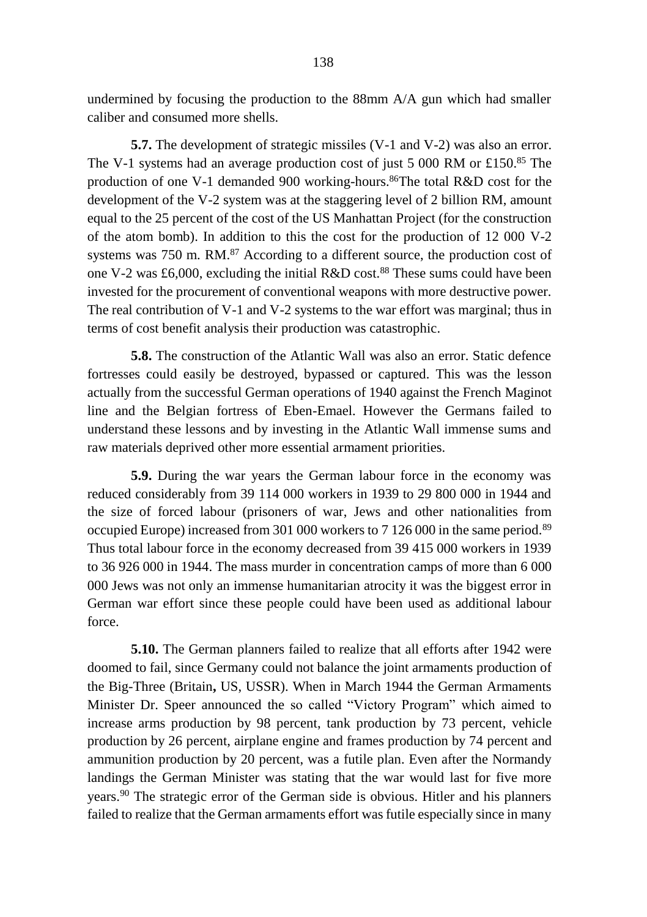undermined by focusing the production to the 88mm A/A gun which had smaller caliber and consumed more shells.

**5.7.** The development of strategic missiles (V-1 and V-2) was also an error. Τhe V-1 systems had an average production cost of just 5 000 RM or £150.<sup>85</sup> The production of one V-1 demanded 900 working-hours. <sup>86</sup>Τhe tοtal R&D cost for the development of the V-2 system was at the staggering level of 2 billion RM, amount equal to the 25 percent of the cost of the US Manhattan Project (for the construction of the atom bomb). In addition to this the cost for the production of 12 000 V-2 systems was 750 m. RM.<sup>87</sup> According to a different source, the production cost of one V-2 was £6,000, excluding the initial R&D cost.<sup>88</sup> These sums could have been invested for the procurement of conventional weapons with more destructive power. The real contribution of V-1 and V-2 systems to the war effort was marginal; thus in terms of cost benefit analysis their production was catastrophic.

**5.8.** The construction of the Atlantic Wall was also an error. Static defence fortresses could easily be destroyed, bypassed or captured. This was the lesson actually from the successful German operations of 1940 against the French Maginot line and the Belgian fortress of Eben-Emael. However the Germans failed to understand these lessons and by investing in the Atlantic Wall immense sums and raw materials deprived other more essential armament priorities.

**5.9.** During the war years the German labour force in the economy was reduced considerably from 39 114 000 workers in 1939 to 29 800 000 in 1944 and the size of forced labour (prisoners of war, Jews and other nationalities from occupied Europe) increased from 301 000 workers to 7 126 000 in the same period.<sup>89</sup> Thus total labour force in the economy decreased from 39 415 000 workers in 1939 to 36 926 000 in 1944. The mass murder in concentration camps of more than 6 000 000 Jews was not only an immense humanitarian atrocity it was the biggest error in German war effort since these people could have been used as additional labour force.

**5.10.** The German planners failed to realize that all efforts after 1942 were doomed to fail, since Germany could not balance the joint armaments production of the Big-Three (Britain**,** US, USSR). When in March 1944 the German Armaments Minister Dr. Speer announced the so called "Victory Program" which aimed to increase arms production by 98 percent, tank production by 73 percent, vehicle production by 26 percent, airplane engine and frames production by 74 percent and ammunition production by 20 percent, was a futile plan. Even after the Normandy landings the German Minister was stating that the war would last for five more years.<sup>90</sup> The strategic error of the German side is obvious. Hitler and his planners failed to realize that the German armaments effort was futile especially since in many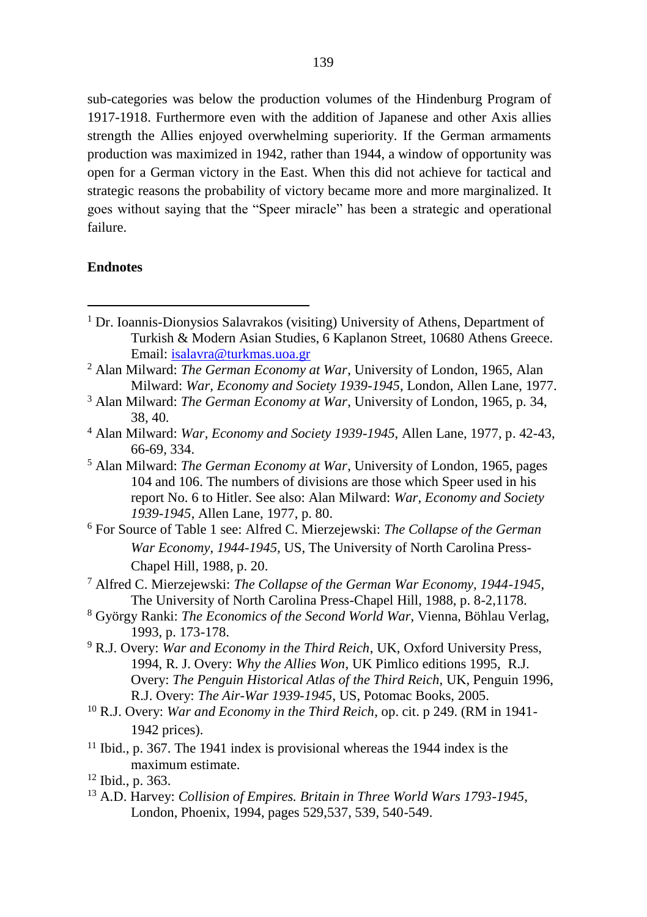sub-categories was below the production volumes of the Hindenburg Program of 1917-1918. Furthermore even with the addition of Japanese and other Axis allies strength the Allies enjoyed overwhelming superiority. If the German armaments production was maximized in 1942, rather than 1944, a window of opportunity was open for a German victory in the East. When this did not achieve for tactical and strategic reasons the probability of victory became more and more marginalized. It goes without saying that the "Speer miracle" has been a strategic and operational failure.

#### **Endnotes**

- <sup>1</sup> Dr. Ioannis-Dionysios Salavrakos (visiting) University of Athens, Department of Turkish & Modern Asian Studies, 6 Kaplanon Street, 10680 Athens Greece. Email: [isalavra@turkmas.uoa.gr](mailto:isalavra@turkmas.uoa,gr)
- <sup>2</sup> Alan Milward: *The German Economy at War*, University of London, 1965, Alan Milward: *War, Economy and Society 1939-1945*, London, Allen Lane, 1977.
- <sup>3</sup> Alan Milward: *The German Economy at War*, University of London, 1965, p. 34, 38, 40.
- <sup>4</sup> Alan Milward: *War, Economy and Society 1939-1945*, Allen Lane, 1977, p. 42-43, 66-69, 334.
- <sup>5</sup> Alan Milward: *The German Economy at War*, University of London, 1965, pages 104 and 106. The numbers of divisions are those which Speer used in his report No. 6 to Hitler. See also: Alan Milward: *War, Economy and Society 1939-1945*, Allen Lane, 1977, p. 80.
- <sup>6</sup> For Source of Table 1 see: Alfred C. Mierzejewski: *The Collapse of the German War Economy*, *1944-1945,* US, The University of North Carolina Press-Chapel Hill, 1988, p. 20.
- <sup>7</sup> Alfred C. Mierzejewski: *The Collapse of the German War Economy, 1944-1945*, The University of North Carolina Press-Chapel Hill, 1988, p. 8-2,1178.
- <sup>8</sup> György Ranki: *The Economics of the Second World War*, Vienna, Böhlau Verlag, 1993, p. 173-178.
- <sup>9</sup> R.J. Overy: *War and Economy in the Third Reich*, UK, Oxford University Press, 1994, R. J. Overy: *Why the Allies Won*, UK Pimlico editions 1995, R.J. Overy: *The Penguin Historical Atlas of the Third Reich*, UK, Penguin 1996, R.J. Overy: *The Air-War 1939-1945*, US, Potomac Books, 2005.
- <sup>10</sup> R.J. Overy: *War and Economy in the Third Reich*, op. cit. p 249. (RM in 1941- 1942 prices).
- $11$  Ibid., p. 367. The 1941 index is provisional whereas the 1944 index is the maximum estimate.
- <sup>12</sup> Ibid., p. 363.
- <sup>13</sup> A.D. Harvey: *Collision of Empires. Britain in Three World Wars 1793-1945*, London, Phoenix, 1994, pages 529,537, 539, 540-549.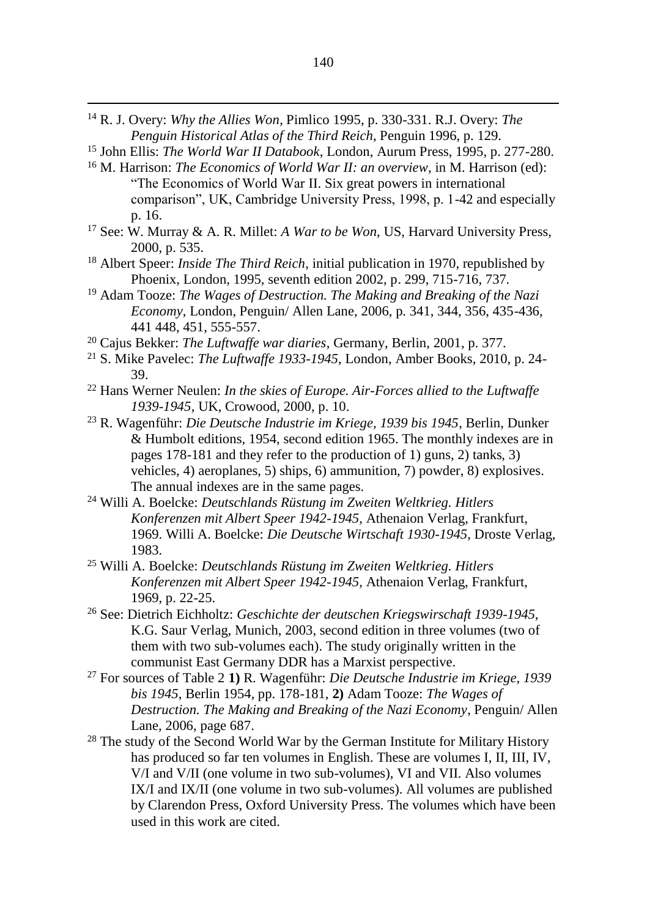<sup>14</sup> R. J. Overy: *Why the Allies Won*, Pimlico 1995, p. 330-331. R.J. Overy: *The Penguin Historical Atlas of the Third Reich*, Penguin 1996, p. 129.

- <sup>15</sup> John Ellis: *The World War II Databook*, London, Aurum Press, 1995, p. 277-280.
- <sup>16</sup> M. Harrison: *The Economics of World War II: an overview*, in M. Harrison (ed): "The Economics of World War II. Six great powers in international comparison", UK, Cambridge University Press, 1998, p. 1-42 and especially p. 16.
- <sup>17</sup> See: W. Murray & A. R. Millet: *A War to be Won*, US, Harvard University Press, 2000, p. 535.
- <sup>18</sup> Albert Speer: *Inside The Third Reich*, initial publication in 1970, republished by Phoenix, London, 1995, seventh edition 2002, p. 299, 715-716, 737.
- <sup>19</sup> Adam Tooze: *The Wages of Destruction. The Making and Breaking of the Nazi Economy*, London, Penguin/ Allen Lane, 2006, p. 341, 344, 356, 435-436, 441 448, 451, 555-557.
- <sup>20</sup> Cajus Bekker: *The Luftwaffe war diaries*, Germany, Berlin, 2001, p. 377.
- <sup>21</sup> S. Mike Pavelec: *The Luftwaffe 1933-1945*, London, Amber Books, 2010, p. 24- 39.
- <sup>22</sup> Hans Werner Neulen: *In the skies of Europe. Air-Forces allied to the Luftwaffe 1939-1945*, UK, Crowood, 2000, p. 10.
- <sup>23</sup> R. Wagenführ: *Die Deutsche Industrie im Kriege, 1939 bis 1945*, Berlin, Dunker & Humbolt editions, 1954, second edition 1965. The monthly indexes are in pages 178-181 and they refer to the production of 1) guns, 2) tanks, 3) vehicles, 4) aeroplanes, 5) ships, 6) ammunition, 7) powder, 8) explosives. The annual indexes are in the same pages.
- <sup>24</sup> Willi A. Boelcke: *Deutschlands Rüstung im Zweiten Weltkrieg. Hitlers Konferenzen mit Albert Speer 1942-1945,* Athenaion Verlag, Frankfurt, 1969. Willi A. Boelcke: *Die Deutsche Wirtschaft 1930-1945*, Droste Verlag, 1983.
- <sup>25</sup> Willi A. Boelcke: *Deutschlands Rüstung im Zweiten Weltkrieg. Hitlers Konferenzen mit Albert Speer 1942-1945,* Athenaion Verlag, Frankfurt, 1969, p. 22-25.
- <sup>26</sup> See: Dietrich Eichholtz: *Geschichte der deutschen Kriegswirschaft 1939-1945*, K.G. Saur Verlag, Μunich, 2003, second edition in three volumes (two of them with two sub-volumes each). The study originally written in the communist East Germany DDR has a Marxist perspective.
- <sup>27</sup> For sources of Table 2 **1)** R. Wagenführ: *Die Deutsche Industrie im Kriege, 1939 bis 1945*, Berlin 1954, pp. 178-181, **2)** Adam Tooze: *The Wages of Destruction. The Making and Breaking of the Nazi Economy*, Penguin/ Allen Lane, 2006, page 687.
- <sup>28</sup> The study of the Second World War by the German Institute for Military History has produced so far ten volumes in English. These are volumes I, II, III, IV, V/I and V/II (one volume in two sub-volumes), VI and VII. Also volumes IX/I and IX/II (one volume in two sub-volumes). All volumes are published by Clarendon Press, Oxford University Press. The volumes which have been used in this work are cited.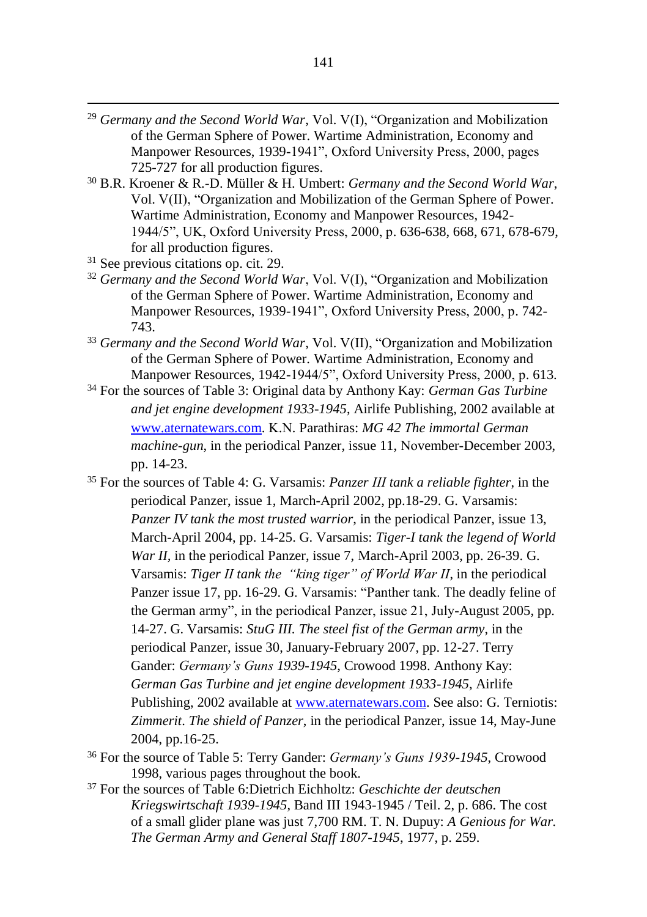- <sup>29</sup> *Germany and the Second World War*, Vol. V(I), "Organization and Mobilization of the German Sphere of Power. Wartime Administration, Economy and Manpower Resources, 1939-1941", Oxford University Press, 2000, pages 725-727 for all production figures.
- <sup>30</sup> B.R. Kroener & R.-D. Müller & H. Umbert: *Germany and the Second World War*, Vol. V(II), "Organization and Mobilization of the German Sphere of Power. Wartime Administration, Economy and Manpower Resources, 1942- 1944/5", UK, Oxford University Press, 2000, p. 636-638, 668, 671, 678-679, for all production figures.
- <sup>31</sup> See previous citations op. cit. 29.

- <sup>32</sup> Germany and the Second World War, Vol. V(I), "Organization and Mobilization of the German Sphere of Power. Wartime Administration, Economy and Manpower Resources, 1939-1941", Oxford University Press, 2000, p. 742- 743.
- <sup>33</sup> *Germany and the Second World War*, Vol. V(II), "Organization and Mobilization of the German Sphere of Power. Wartime Administration, Economy and Manpower Resources, 1942-1944/5", Oxford University Press, 2000, p. 613.
- <sup>34</sup> For the sources of Table 3: Original data by Anthony Kay: *German Gas Turbine and jet engine development 1933-1945*, Airlife Publishing, 2002 available at [www.aternatewars.com.](http://www.aternatewars.com/) Κ.Ν. Parathiras: *MG 42 Τhe immortal German machine-gun*, in the periodical Panzer, issue 11, Νοvember-December 2003, pp. 14-23.
- <sup>35</sup> For the sources of Table 4: G. Varsamis: *Panzer ΙΙΙ tank a reliable fighter*, in the periodical Panzer, issue 1, Μarch-Αpril 2002, pp.18-29. G. Varsamis: *Panzer IV tank the most trusted warrior*, in the periodical Panzer, issue 13, Μarch-Αpril 2004, pp. 14-25. G. Varsamis: *Tiger-I tank the legend of World War II,* in the periodical Panzer, issue 7, March-April 2003, pp. 26-39, G. Varsamis: *Tiger ΙΙ tank the "king tiger" of World War II*, in the periodical Panzer issue 17, pp. 16-29. G. Varsamis: "Panther tank. The deadly feline of the German army", in the periodical Panzer, issue 21, July-August 2005, pp. 14-27. G. Varsamis: *StuG III. The steel fist of the German army*, in the periodical Panzer, issue 30, January-February 2007, pp. 12-27. Terry Gander: *Germany's Guns 1939-1945*, Crowood 1998. Anthony Kay: *German Gas Turbine and jet engine development 1933-1945*, Airlife Publishing, 2002 available at [www.aternatewars.com.](http://www.aternatewars.com/) See also: G. Τerniotis: *Zimmerit*. *The shield of Panzer*, in the periodical Panzer, issue 14, Μay-June 2004, pp.16-25.
- <sup>36</sup> For the source of Table 5: Terry Gander: *Germany's Guns 1939-1945*, Crowood 1998, various pages throughout the book.
- <sup>37</sup> For the sources of Table 6:Dietrich Eichholtz: *Geschichte der deutschen Kriegswirtschaft 1939-1945*, Band III 1943-1945 / Teil. 2, p. 686. Τhe cost of a small glider plane was just 7,700 RM. T. N. Dupuy: *A Genious for War. The German Army and General Staff 1807-1945*, 1977, p. 259.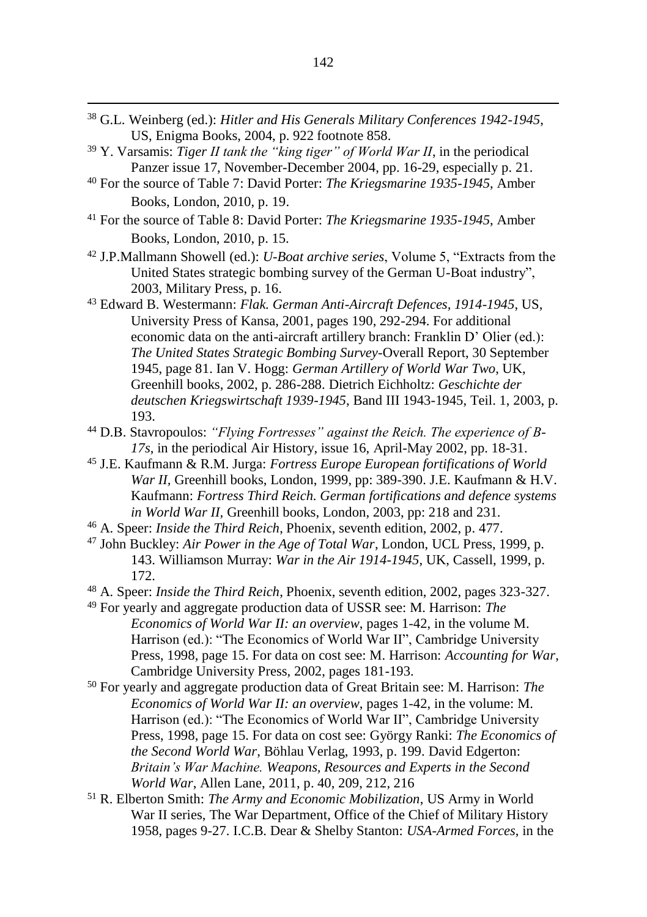- <sup>38</sup> G.L. Weinberg (ed.): *Hitler and His Generals Military Conferences 1942-1945*, US, Enigma Books, 2004, p. 922 footnote 858.
- <sup>39</sup> Y. Varsamis: *Tiger ΙΙ tank the "king tiger" of World War II*, in the periodical Panzer issue 17, November-December 2004, pp. 16-29, especially p. 21.

- <sup>40</sup> For the source of Table 7: David Porter: *The Kriegsmarine 1935-1945*, Amber Books, London, 2010, p. 19.
- <sup>41</sup> For the source of Table 8: David Porter: *The Kriegsmarine 1935-1945*, Amber Books, London, 2010, p. 15.
- <sup>42</sup> J.P.Mallmann Showell (ed.): *U-Boat archive series*, Volume 5, "Extracts from the United States strategic bombing survey of the German U-Boat industry", 2003, Military Press, p. 16.
- <sup>43</sup> Edward B. Westermann: *Flak. German Anti-Aircraft Defences, 1914-1945*, US, University Press of Kansa, 2001, pages 190, 292-294. For additional economic data on the anti-aircraft artillery branch: Franklin D' Olier (ed.): *The United States Strategic Bombing Survey*-Overall Report, 30 September 1945, page 81. Ian V. Hogg: *German Artillery of World War Two*, UK, Greenhill books, 2002, p. 286-288. Dietrich Eichholtz: *Geschichte der deutschen Kriegswirtschaft 1939-1945*, Band III 1943-1945, Teil. 1, 2003, p. 193.
- <sup>44</sup> D.Β. Stavropoulos: *"Flying Fortresses" against the Reich. The experience of Β-17s*, in the periodical Air History, issue 16, Αpril-Μay 2002, pp. 18-31.
- <sup>45</sup> J.E. Kaufmann & R.M. Jurga: *Fortress Europe European fortifications of World War II,* Greenhill books, London, 1999, pp: 389-390. J.E. Kaufmann & H.V. Kaufmann: *Fortress Third Reich. German fortifications and defence systems in World War II,* Greenhill books, London, 2003, pp: 218 and 231.
- <sup>46</sup> A. Speer: *Inside the Third Reich*, Phoenix, seventh edition, 2002, p. 477.
- <sup>47</sup> John Buckley: *Air Power in the Age of Total War*, London, UCL Press, 1999, p. 143. Williamson Murray: *War in the Air 1914-1945*, UK, Cassell, 1999, p. 172.
- <sup>48</sup> A. Speer: *Inside the Third Reich*, Phoenix, seventh edition, 2002, pages 323-327.
- <sup>49</sup> For yearly and aggregate production data of USSR see: M. Harrison: *The Economics of World War II: an overview*, pages 1-42, in the volume M. Harrison (ed.): "The Economics of World War II", Cambridge University Press, 1998, page 15. For data on cost see: M. Harrison: *Accounting for War*, Cambridge University Press, 2002, pages 181-193.
- <sup>50</sup> For yearly and aggregate production data of Great Britain see: M. Harrison: *The Economics of World War II: an overview*, pages 1-42, in the volume: M. Harrison (ed.): "The Economics of World War II", Cambridge University Press, 1998, page 15. For data on cost see: György Ranki: *The Economics of the Second World War*, Böhlau Verlag, 1993, p. 199. David Edgerton: *Britain's War Machine. Weapons, Resources and Experts in the Second World War*, Allen Lane, 2011, p. 40, 209, 212, 216
- <sup>51</sup> R. Elberton Smith: *The Army and Economic Mobilization*, US Army in World War II series, The War Department, Office of the Chief of Military History 1958, pages 9-27. I.C.B. Dear & Shelby Stanton: *USA-Armed Forces*, in the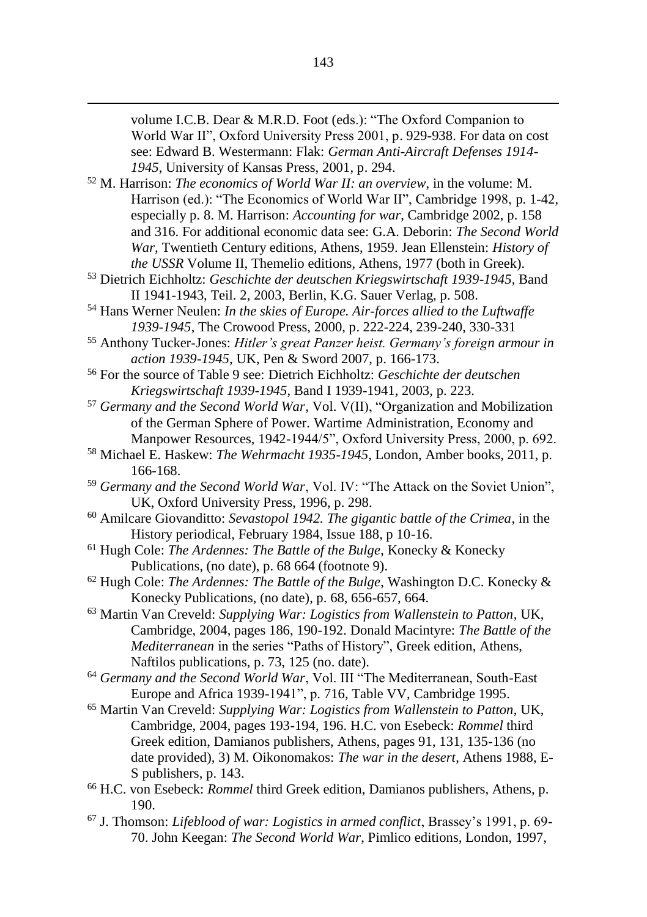volume I.C.B. Dear & M.R.D. Foot (eds.): "The Oxford Companion to World War II", Oxford University Press 2001, p. 929-938. For data on cost see: Edward B. Westermann: Flak: *German Anti-Aircraft Defenses 1914- 1945*, University of Kansas Press, 2001, p. 294.

<sup>52</sup> M. Harrison: *The economics of World War II: an overview*, in the volume: M. Harrison (ed.): "The Economics of World War II", Cambridge 1998, p. 1-42, especially p. 8. M. Harrison: *Accounting for war*, Cambridge 2002, p. 158 and 316. For additional economic data see: G.A. Deborin: *The Second World War*, Twentieth Century editions, Athens, 1959. Jean Ellenstein: *History of the USSR* Volume II, Themelio editions, Athens, 1977 (both in Greek).

- <sup>53</sup> Dietrich Eichholtz: *Geschichte der deutschen Kriegswirtschaft 1939-1945*, Band II 1941-1943, Teil. 2, 2003, Berlin, K.G. Sauer Verlag, p. 508.
- <sup>54</sup> Hans Werner Neulen: *In the skies of Europe. Air-forces allied to the Luftwaffe 1939-1945*, The Crowood Press, 2000, p. 222-224, 239-240, 330-331
- <sup>55</sup> Anthony Tucker-Jones: *Hitler's great Panzer heist. Germany's foreign armour in action 1939-1945,* UK, Pen & Sword 2007, p. 166-173.
- <sup>56</sup> For the source of Table 9 see: Dietrich Eichholtz: *Geschichte der deutschen Kriegswirtschaft 1939-1945*, Band I 1939-1941, 2003, p. 223.
- <sup>57</sup> *Germany and the Second World War*, Vol. V(II), "Organization and Mobilization of the German Sphere of Power. Wartime Administration, Economy and Manpower Resources, 1942-1944/5", Oxford University Press, 2000, p. 692.
- <sup>58</sup> Michael E. Haskew: *The Wehrmacht 1935-1945*, London, Amber books, 2011, p. 166-168.
- <sup>59</sup> *Germany and the Second World War*, Vol. IV: "The Attack on the Soviet Union", UK, Oxford University Press, 1996, p. 298.
- <sup>60</sup> Amilcare Giovanditto: *Sevastopol 1942. The gigantic battle of the Crimea*, in the History periodical, February 1984, Issue 188, p 10-16.
- <sup>61</sup> Hugh Cole: *The Ardennes: The Battle of the Bulge*, Konecky & Konecky Publications, (no date), p. 68 664 (footnote 9).
- <sup>62</sup> Hugh Cole: *The Ardennes: The Battle of the Bulge*, Washington D.C. Konecky & Konecky Publications, (no date), p. 68, 656-657, 664.
- <sup>63</sup> Martin Van Creveld: *Supplying War: Logistics from Wallenstein to Patton*, UK, Cambridge, 2004, pages 186, 190-192. Donald Macintyre: *The Battle of the Mediterranean* in the series "Paths of History", Greek edition, Athens, Naftilos publications, p. 73, 125 (no. date).
- <sup>64</sup> *Germany and the Second World War*, Vol. III "The Mediterranean, South-East Europe and Africa 1939-1941", p. 716, Table VV, Cambridge 1995.
- <sup>65</sup> Martin Van Creveld: *Supplying War: Logistics from Wallenstein to Patton*, UK, Cambridge, 2004, pages 193-194, 196. H.C. von Esebeck: *Rommel* third Greek edition, Damianos publishers, Athens, pages 91, 131, 135-136 (no date provided), 3) M. Oikonomakos: *The war in the desert*, Athens 1988, E-S publishers, p. 143.
- <sup>66</sup> H.C. von Esebeck: *Rommel* third Greek edition, Damianos publishers, Athens, p. 190.
- <sup>67</sup> J. Thomson: *Lifeblood of war: Logistics in armed conflict*, Brassey's 1991, p. 69- 70. John Keegan: *The Second World War*, Pimlico editions, London, 1997,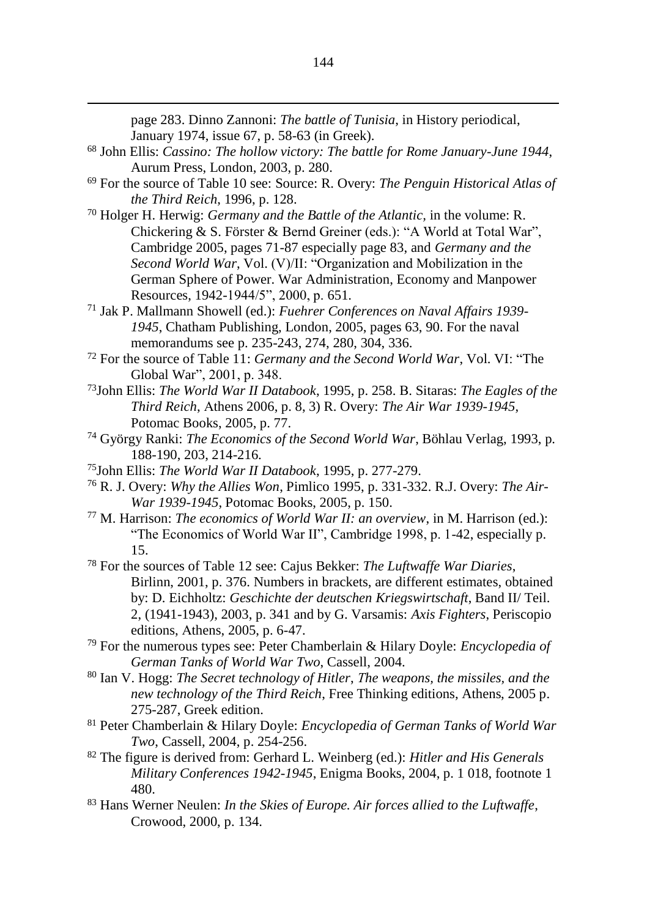page 283. Dinno Zannoni: *The battle of Tunisia*, in History periodical, January 1974, issue 67, p. 58-63 (in Greek).

- <sup>68</sup> John Ellis: *Cassino: The hollow victory: The battle for Rome January*-*June 1944*, Aurum Press, London, 2003, p. 280.
- <sup>69</sup> For the source of Table 10 see: Source: R. Overy: *The Penguin Historical Atlas of the Third Reich*, 1996, p. 128.
- <sup>70</sup> Holger H. Herwig: *Germany and the Battle of the Atlantic,* in the volume: R. Chickering & S. Förster & Bernd Greiner (eds.): "A World at Total War", Cambridge 2005, pages 71-87 especially page 83, and *Germany and the Second World War*, Vol. (V)/II: "Organization and Mobilization in the German Sphere of Power. War Administration, Economy and Manpower Resources, 1942-1944/5", 2000, p. 651.
- <sup>71</sup> Jak P. Mallmann Showell (ed.): *Fuehrer Conferences on Naval Affairs 1939- 1945*, Chatham Publishing, London, 2005, pages 63, 90. For the naval memorandums see p. 235-243, 274, 280, 304, 336.
- <sup>72</sup> For the source of Table 11: *Germany and the Second World War*, Vol. VI: "Τhe Global War", 2001, p. 348.
- <sup>73</sup>John Ellis: *The World War II Databook*, 1995, p. 258. Β. Sitaras: *The Eagles of the Third Reich*, Αthens 2006, p. 8, 3) R. Overy: *The Air War 1939-1945*, Potomac Books, 2005, p. 77.
- <sup>74</sup> György Ranki: *The Economics of the Second World War*, Böhlau Verlag, 1993, p. 188-190, 203, 214-216.
- <sup>75</sup>John Ellis: *The World War II Databook*, 1995, p. 277-279.

- <sup>76</sup> R. J. Overy: *Why the Allies Won*, Pimlico 1995, p. 331-332. R.J. Overy: *The Air-War 1939-1945*, Potomac Books, 2005, p. 150.
- <sup>77</sup> M. Harrison: *The economics of World War II: an overview*, in M. Harrison (ed.): "The Economics of World War II", Cambridge 1998, p. 1-42, especially p. 15.
- <sup>78</sup> For the sources of Table 12 see: Cajus Bekker: *The Luftwaffe War Diaries*, Birlinn, 2001, p. 376. Numbers in brackets, are different estimates, obtained by: D. Eichholtz: *Geschichte der deutschen Kriegswirtschaft*, Band II/ Teil. 2, (1941-1943), 2003, p. 341 and by G. Varsamis: *Axis Fighters*, Periscopio editions, Αthens, 2005, p. 6-47.
- <sup>79</sup> For the numerous types see: Peter Chamberlain & Hilary Doyle: *Encyclopedia of German Tanks of World War Two*, Cassell, 2004.
- <sup>80</sup> Ian V. Hogg: *The Secret technology of Hitler*, *Τhe weapons, the missiles, and the new technology of the Third Reich*, Free Thinking editions, Athens, 2005 p. 275-287, Greek edition.
- <sup>81</sup> Peter Chamberlain & Hilary Doyle: *Encyclopedia of German Tanks of World War Two*, Cassell, 2004, p. 254-256.
- <sup>82</sup> The figure is derived from: Gerhard L. Weinberg (ed.): *Hitler and His Generals Military Conferences 1942-1945*, Enigma Books, 2004, p. 1 018, footnote 1 480.
- <sup>83</sup> Hans Werner Neulen: *In the Skies of Europe. Air forces allied to the Luftwaffe*, Crowood, 2000, p. 134.